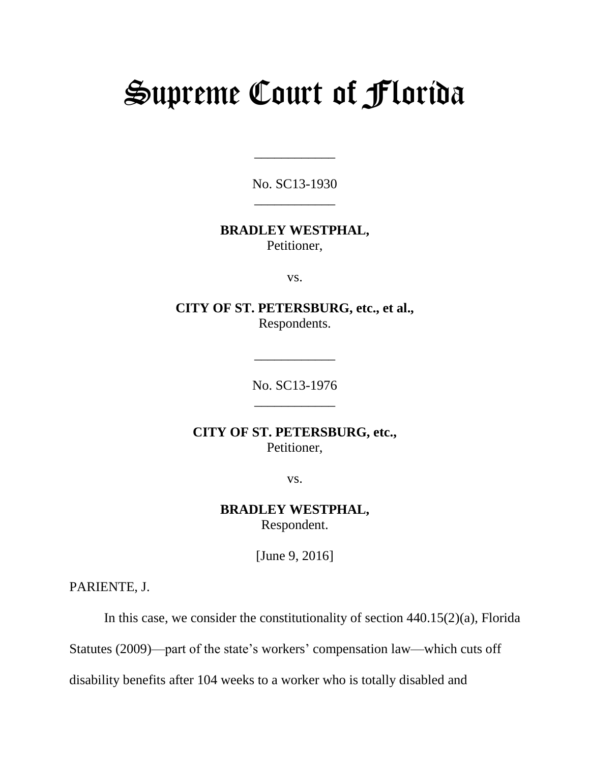# Supreme Court of Florida

No. SC13-1930 \_\_\_\_\_\_\_\_\_\_\_\_

\_\_\_\_\_\_\_\_\_\_\_\_

## **BRADLEY WESTPHAL,** Petitioner,

vs.

**CITY OF ST. PETERSBURG, etc., et al.,** Respondents.

> No. SC13-1976 \_\_\_\_\_\_\_\_\_\_\_\_

\_\_\_\_\_\_\_\_\_\_\_\_

**CITY OF ST. PETERSBURG, etc.,** Petitioner,

vs.

**BRADLEY WESTPHAL,** Respondent.

[June 9, 2016]

PARIENTE, J.

In this case, we consider the constitutionality of section 440.15(2)(a), Florida

Statutes (2009)—part of the state's workers' compensation law—which cuts off

disability benefits after 104 weeks to a worker who is totally disabled and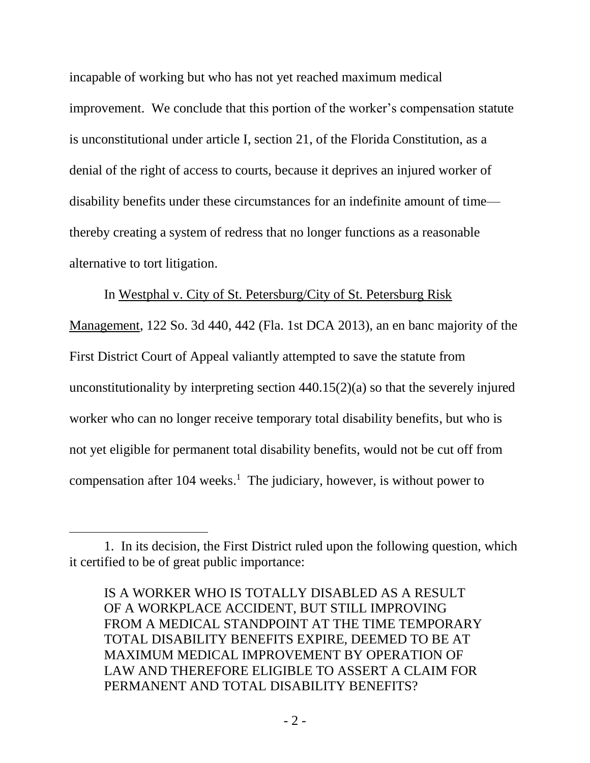incapable of working but who has not yet reached maximum medical improvement. We conclude that this portion of the worker's compensation statute is unconstitutional under article I, section 21, of the Florida Constitution, as a denial of the right of access to courts, because it deprives an injured worker of disability benefits under these circumstances for an indefinite amount of time thereby creating a system of redress that no longer functions as a reasonable alternative to tort litigation.

In Westphal v. City of St. Petersburg/City of St. Petersburg Risk

Management, 122 So. 3d 440, 442 (Fla. 1st DCA 2013), an en banc majority of the First District Court of Appeal valiantly attempted to save the statute from unconstitutionality by interpreting section 440.15(2)(a) so that the severely injured worker who can no longer receive temporary total disability benefits, but who is not yet eligible for permanent total disability benefits, would not be cut off from compensation after 104 weeks. 1 The judiciary, however, is without power to

l

<sup>1.</sup> In its decision, the First District ruled upon the following question, which it certified to be of great public importance:

IS A WORKER WHO IS TOTALLY DISABLED AS A RESULT OF A WORKPLACE ACCIDENT, BUT STILL IMPROVING FROM A MEDICAL STANDPOINT AT THE TIME TEMPORARY TOTAL DISABILITY BENEFITS EXPIRE, DEEMED TO BE AT MAXIMUM MEDICAL IMPROVEMENT BY OPERATION OF LAW AND THEREFORE ELIGIBLE TO ASSERT A CLAIM FOR PERMANENT AND TOTAL DISABILITY BENEFITS?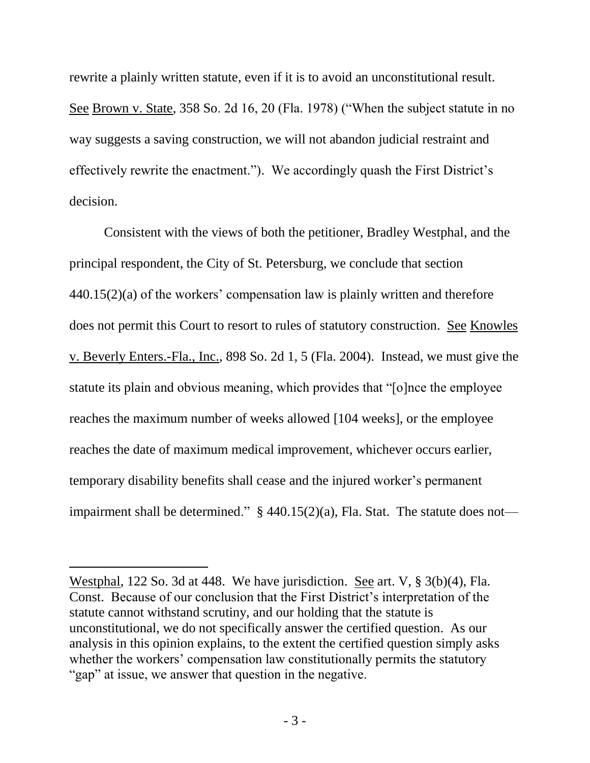rewrite a plainly written statute, even if it is to avoid an unconstitutional result. See Brown v. State, 358 So. 2d 16, 20 (Fla. 1978) ("When the subject statute in no way suggests a saving construction, we will not abandon judicial restraint and effectively rewrite the enactment."). We accordingly quash the First District's decision.

Consistent with the views of both the petitioner, Bradley Westphal, and the principal respondent, the City of St. Petersburg, we conclude that section 440.15(2)(a) of the workers' compensation law is plainly written and therefore does not permit this Court to resort to rules of statutory construction. See Knowles v. Beverly Enters.-Fla., Inc., 898 So. 2d 1, 5 (Fla. 2004). Instead, we must give the statute its plain and obvious meaning, which provides that "[o]nce the employee reaches the maximum number of weeks allowed [104 weeks], or the employee reaches the date of maximum medical improvement, whichever occurs earlier, temporary disability benefits shall cease and the injured worker's permanent impairment shall be determined."  $\S$  440.15(2)(a), Fla. Stat. The statute does not—

l

Westphal, 122 So. 3d at 448. We have jurisdiction. See art. V, § 3(b)(4), Fla. Const. Because of our conclusion that the First District's interpretation of the statute cannot withstand scrutiny, and our holding that the statute is unconstitutional, we do not specifically answer the certified question. As our analysis in this opinion explains, to the extent the certified question simply asks whether the workers' compensation law constitutionally permits the statutory "gap" at issue, we answer that question in the negative.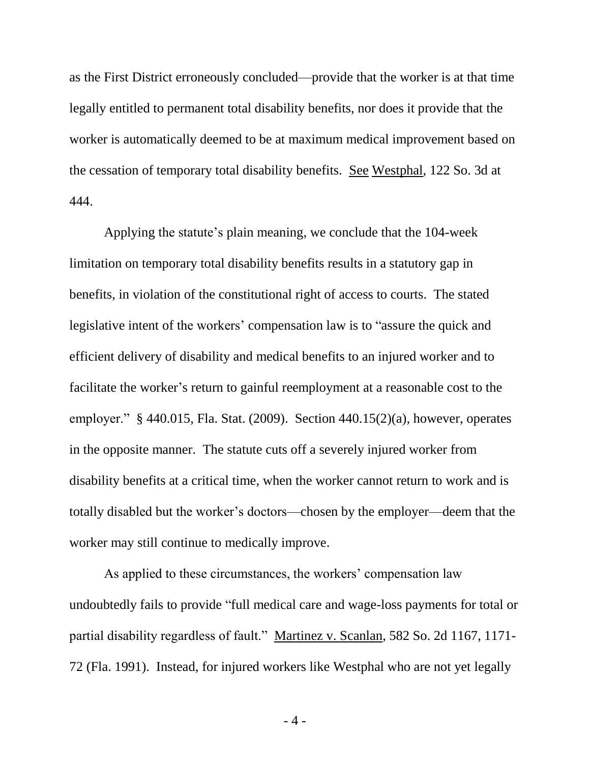as the First District erroneously concluded—provide that the worker is at that time legally entitled to permanent total disability benefits, nor does it provide that the worker is automatically deemed to be at maximum medical improvement based on the cessation of temporary total disability benefits. See Westphal, 122 So. 3d at 444.

Applying the statute's plain meaning, we conclude that the 104-week limitation on temporary total disability benefits results in a statutory gap in benefits, in violation of the constitutional right of access to courts. The stated legislative intent of the workers' compensation law is to "assure the quick and efficient delivery of disability and medical benefits to an injured worker and to facilitate the worker's return to gainful reemployment at a reasonable cost to the employer." § 440.015, Fla. Stat. (2009). Section 440.15(2)(a), however, operates in the opposite manner. The statute cuts off a severely injured worker from disability benefits at a critical time, when the worker cannot return to work and is totally disabled but the worker's doctors—chosen by the employer—deem that the worker may still continue to medically improve.

As applied to these circumstances, the workers' compensation law undoubtedly fails to provide "full medical care and wage-loss payments for total or partial disability regardless of fault." Martinez v. Scanlan, 582 So. 2d 1167, 1171- 72 (Fla. 1991). Instead, for injured workers like Westphal who are not yet legally

- 4 -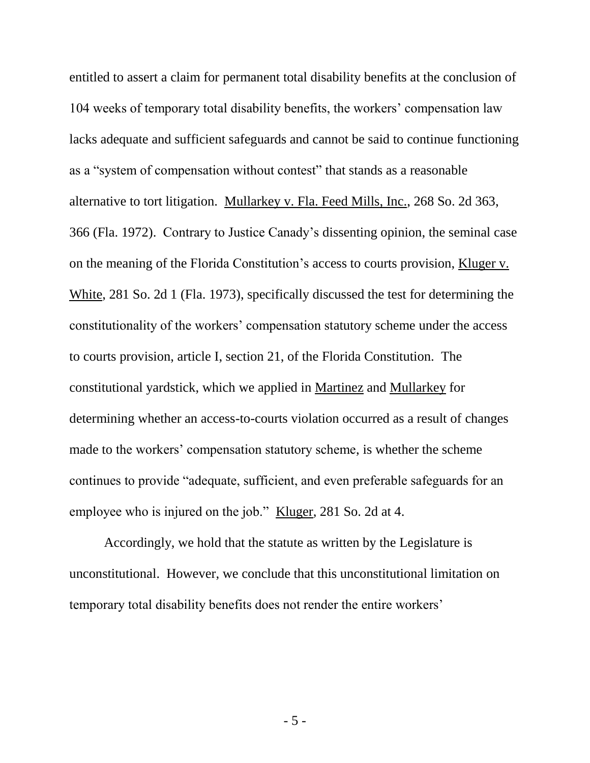entitled to assert a claim for permanent total disability benefits at the conclusion of 104 weeks of temporary total disability benefits, the workers' compensation law lacks adequate and sufficient safeguards and cannot be said to continue functioning as a "system of compensation without contest" that stands as a reasonable alternative to tort litigation. Mullarkey v. Fla. Feed Mills, Inc., 268 So. 2d 363, 366 (Fla. 1972). Contrary to Justice Canady's dissenting opinion, the seminal case on the meaning of the Florida Constitution's access to courts provision, Kluger v. White, 281 So. 2d 1 (Fla. 1973), specifically discussed the test for determining the constitutionality of the workers' compensation statutory scheme under the access to courts provision, article I, section 21, of the Florida Constitution. The constitutional yardstick, which we applied in Martinez and Mullarkey for determining whether an access-to-courts violation occurred as a result of changes made to the workers' compensation statutory scheme, is whether the scheme continues to provide "adequate, sufficient, and even preferable safeguards for an employee who is injured on the job." Kluger, 281 So. 2d at 4.

Accordingly, we hold that the statute as written by the Legislature is unconstitutional. However, we conclude that this unconstitutional limitation on temporary total disability benefits does not render the entire workers'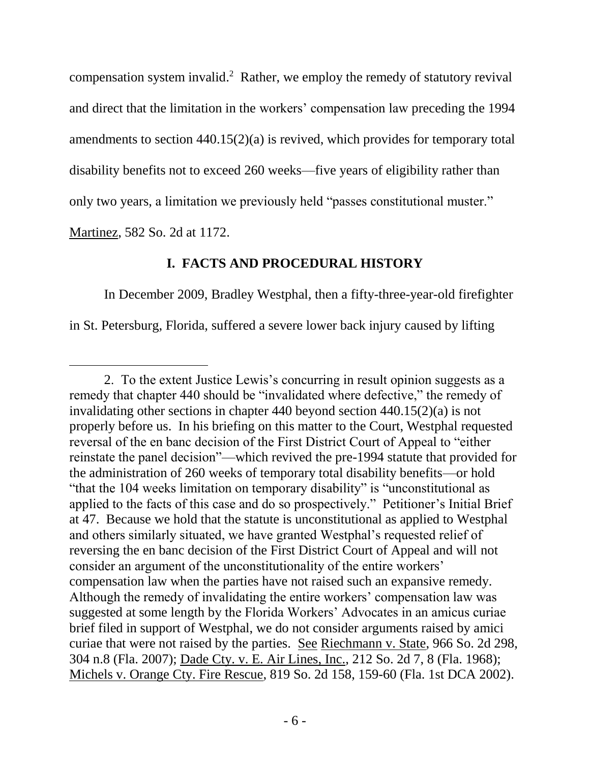compensation system invalid.<sup>2</sup> Rather, we employ the remedy of statutory revival and direct that the limitation in the workers' compensation law preceding the 1994 amendments to section 440.15(2)(a) is revived, which provides for temporary total disability benefits not to exceed 260 weeks—five years of eligibility rather than only two years, a limitation we previously held "passes constitutional muster."

Martinez, 582 So. 2d at 1172.

 $\overline{a}$ 

# **I. FACTS AND PROCEDURAL HISTORY**

In December 2009, Bradley Westphal, then a fifty-three-year-old firefighter in St. Petersburg, Florida, suffered a severe lower back injury caused by lifting

<sup>2.</sup> To the extent Justice Lewis's concurring in result opinion suggests as a remedy that chapter 440 should be "invalidated where defective," the remedy of invalidating other sections in chapter 440 beyond section 440.15(2)(a) is not properly before us. In his briefing on this matter to the Court, Westphal requested reversal of the en banc decision of the First District Court of Appeal to "either reinstate the panel decision"—which revived the pre-1994 statute that provided for the administration of 260 weeks of temporary total disability benefits—or hold "that the 104 weeks limitation on temporary disability" is "unconstitutional as applied to the facts of this case and do so prospectively." Petitioner's Initial Brief at 47. Because we hold that the statute is unconstitutional as applied to Westphal and others similarly situated, we have granted Westphal's requested relief of reversing the en banc decision of the First District Court of Appeal and will not consider an argument of the unconstitutionality of the entire workers' compensation law when the parties have not raised such an expansive remedy. Although the remedy of invalidating the entire workers' compensation law was suggested at some length by the Florida Workers' Advocates in an amicus curiae brief filed in support of Westphal, we do not consider arguments raised by amici curiae that were not raised by the parties. See Riechmann v. State, 966 So. 2d 298, 304 n.8 (Fla. 2007); Dade Cty. v. E. Air Lines, Inc., 212 So. 2d 7, 8 (Fla. 1968); Michels v. Orange Cty. Fire Rescue, 819 So. 2d 158, 159-60 (Fla. 1st DCA 2002).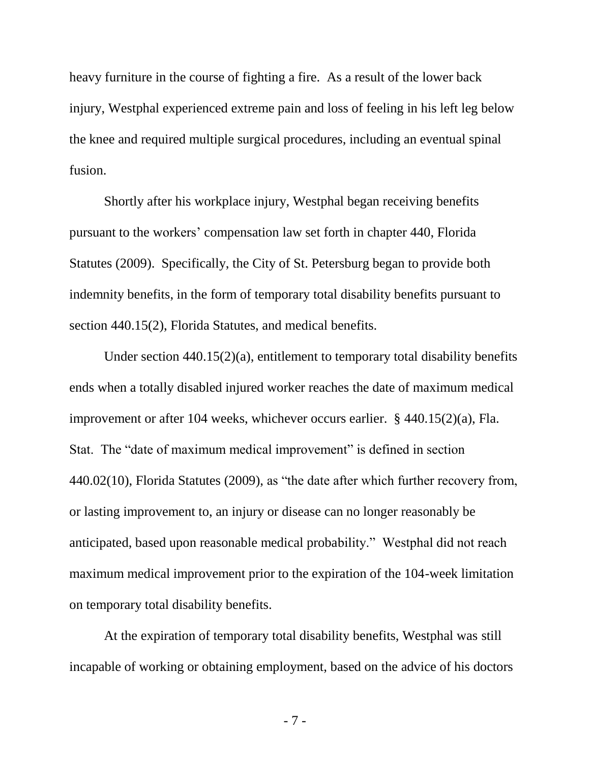heavy furniture in the course of fighting a fire. As a result of the lower back injury, Westphal experienced extreme pain and loss of feeling in his left leg below the knee and required multiple surgical procedures, including an eventual spinal fusion.

Shortly after his workplace injury, Westphal began receiving benefits pursuant to the workers' compensation law set forth in chapter 440, Florida Statutes (2009). Specifically, the City of St. Petersburg began to provide both indemnity benefits, in the form of temporary total disability benefits pursuant to section 440.15(2), Florida Statutes, and medical benefits.

Under section 440.15(2)(a), entitlement to temporary total disability benefits ends when a totally disabled injured worker reaches the date of maximum medical improvement or after 104 weeks, whichever occurs earlier. § 440.15(2)(a), Fla. Stat. The "date of maximum medical improvement" is defined in section 440.02(10), Florida Statutes (2009), as "the date after which further recovery from, or lasting improvement to, an injury or disease can no longer reasonably be anticipated, based upon reasonable medical probability." Westphal did not reach maximum medical improvement prior to the expiration of the 104-week limitation on temporary total disability benefits.

At the expiration of temporary total disability benefits, Westphal was still incapable of working or obtaining employment, based on the advice of his doctors

- 7 -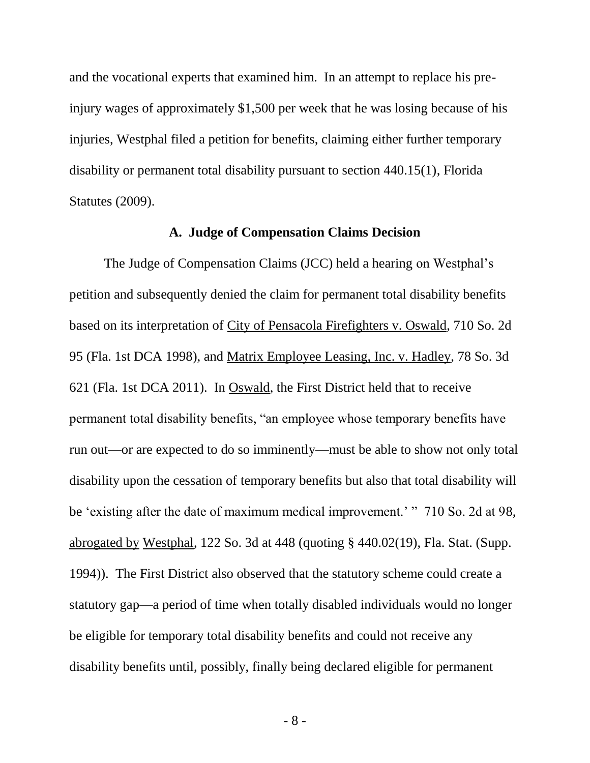and the vocational experts that examined him. In an attempt to replace his preinjury wages of approximately \$1,500 per week that he was losing because of his injuries, Westphal filed a petition for benefits, claiming either further temporary disability or permanent total disability pursuant to section 440.15(1), Florida Statutes (2009).

#### **A. Judge of Compensation Claims Decision**

The Judge of Compensation Claims (JCC) held a hearing on Westphal's petition and subsequently denied the claim for permanent total disability benefits based on its interpretation of City of Pensacola Firefighters v. Oswald, 710 So. 2d 95 (Fla. 1st DCA 1998), and Matrix Employee Leasing, Inc. v. Hadley, 78 So. 3d 621 (Fla. 1st DCA 2011). In Oswald, the First District held that to receive permanent total disability benefits, "an employee whose temporary benefits have run out—or are expected to do so imminently—must be able to show not only total disability upon the cessation of temporary benefits but also that total disability will be 'existing after the date of maximum medical improvement.' " 710 So. 2d at 98, abrogated by Westphal, 122 So. 3d at 448 (quoting § 440.02(19), Fla. Stat. (Supp. 1994)). The First District also observed that the statutory scheme could create a statutory gap—a period of time when totally disabled individuals would no longer be eligible for temporary total disability benefits and could not receive any disability benefits until, possibly, finally being declared eligible for permanent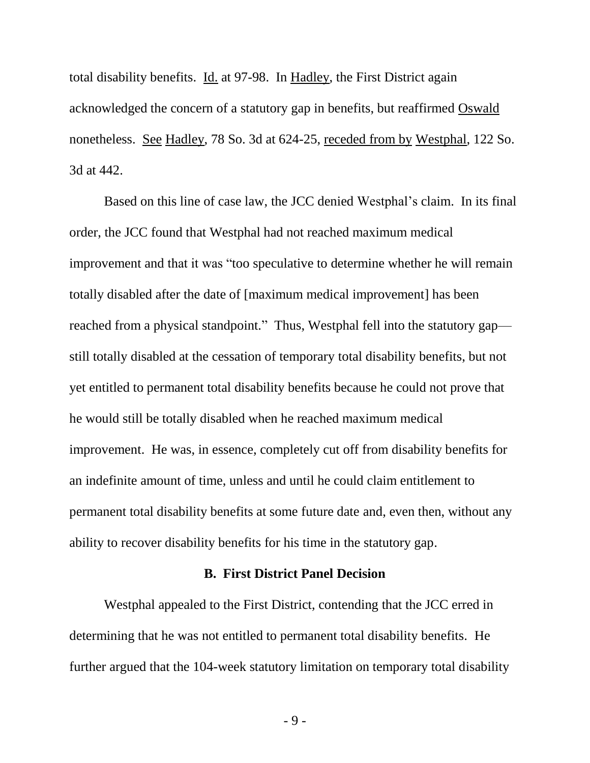total disability benefits. Id. at 97-98. In Hadley, the First District again acknowledged the concern of a statutory gap in benefits, but reaffirmed Oswald nonetheless. See Hadley, 78 So. 3d at 624-25, receded from by Westphal, 122 So. 3d at 442.

Based on this line of case law, the JCC denied Westphal's claim. In its final order, the JCC found that Westphal had not reached maximum medical improvement and that it was "too speculative to determine whether he will remain totally disabled after the date of [maximum medical improvement] has been reached from a physical standpoint." Thus, Westphal fell into the statutory gap still totally disabled at the cessation of temporary total disability benefits, but not yet entitled to permanent total disability benefits because he could not prove that he would still be totally disabled when he reached maximum medical improvement. He was, in essence, completely cut off from disability benefits for an indefinite amount of time, unless and until he could claim entitlement to permanent total disability benefits at some future date and, even then, without any ability to recover disability benefits for his time in the statutory gap.

#### **B. First District Panel Decision**

Westphal appealed to the First District, contending that the JCC erred in determining that he was not entitled to permanent total disability benefits. He further argued that the 104-week statutory limitation on temporary total disability

- 9 -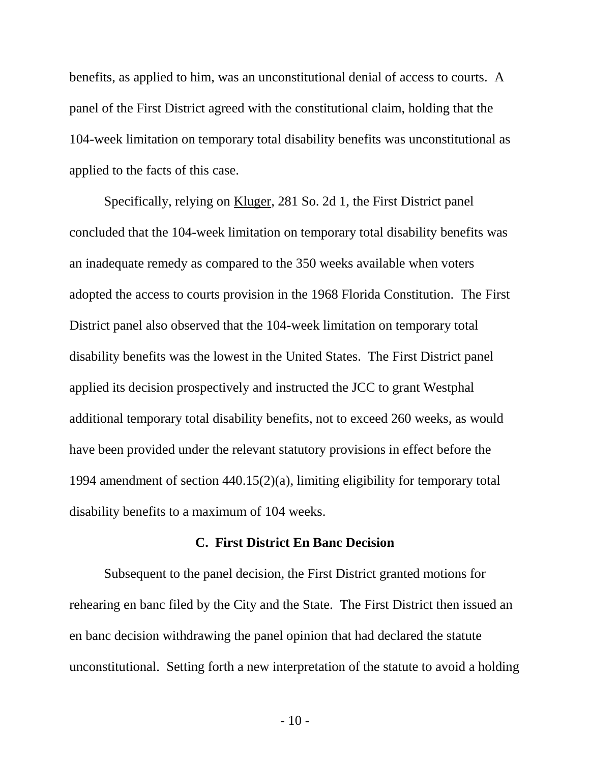benefits, as applied to him, was an unconstitutional denial of access to courts. A panel of the First District agreed with the constitutional claim, holding that the 104-week limitation on temporary total disability benefits was unconstitutional as applied to the facts of this case.

Specifically, relying on Kluger, 281 So. 2d 1, the First District panel concluded that the 104-week limitation on temporary total disability benefits was an inadequate remedy as compared to the 350 weeks available when voters adopted the access to courts provision in the 1968 Florida Constitution. The First District panel also observed that the 104-week limitation on temporary total disability benefits was the lowest in the United States. The First District panel applied its decision prospectively and instructed the JCC to grant Westphal additional temporary total disability benefits, not to exceed 260 weeks, as would have been provided under the relevant statutory provisions in effect before the 1994 amendment of section 440.15(2)(a), limiting eligibility for temporary total disability benefits to a maximum of 104 weeks.

## **C. First District En Banc Decision**

Subsequent to the panel decision, the First District granted motions for rehearing en banc filed by the City and the State. The First District then issued an en banc decision withdrawing the panel opinion that had declared the statute unconstitutional. Setting forth a new interpretation of the statute to avoid a holding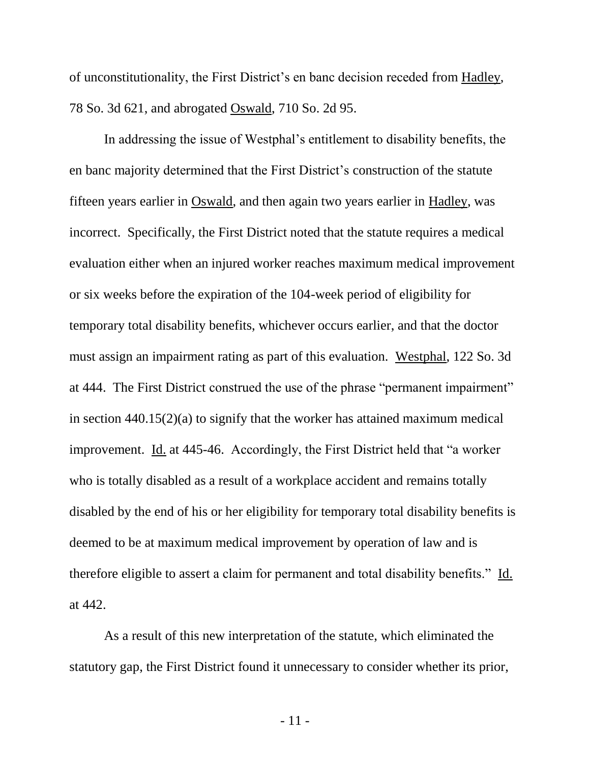of unconstitutionality, the First District's en banc decision receded from Hadley, 78 So. 3d 621, and abrogated Oswald, 710 So. 2d 95.

In addressing the issue of Westphal's entitlement to disability benefits, the en banc majority determined that the First District's construction of the statute fifteen years earlier in Oswald, and then again two years earlier in Hadley, was incorrect. Specifically, the First District noted that the statute requires a medical evaluation either when an injured worker reaches maximum medical improvement or six weeks before the expiration of the 104-week period of eligibility for temporary total disability benefits, whichever occurs earlier, and that the doctor must assign an impairment rating as part of this evaluation. Westphal, 122 So. 3d at 444. The First District construed the use of the phrase "permanent impairment" in section 440.15(2)(a) to signify that the worker has attained maximum medical improvement. Id. at 445-46. Accordingly, the First District held that "a worker who is totally disabled as a result of a workplace accident and remains totally disabled by the end of his or her eligibility for temporary total disability benefits is deemed to be at maximum medical improvement by operation of law and is therefore eligible to assert a claim for permanent and total disability benefits." Id. at 442.

As a result of this new interpretation of the statute, which eliminated the statutory gap, the First District found it unnecessary to consider whether its prior,

- 11 -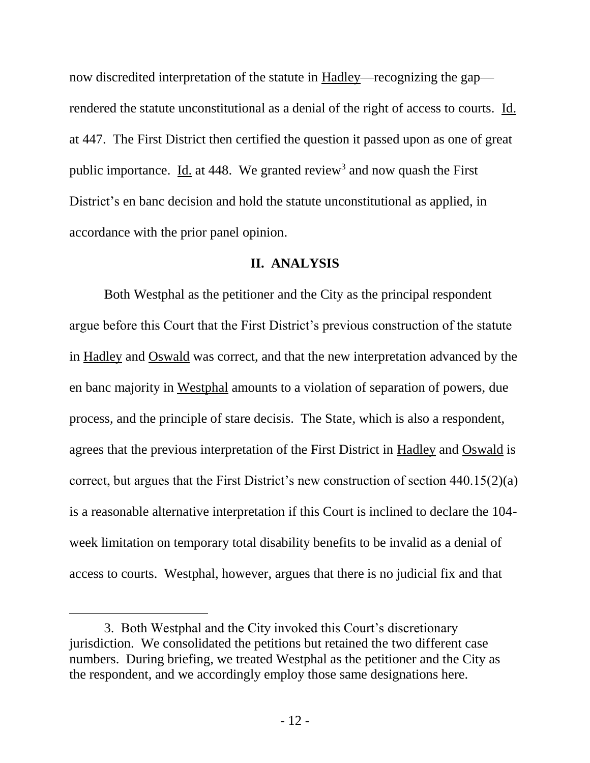now discredited interpretation of the statute in Hadley—recognizing the gap rendered the statute unconstitutional as a denial of the right of access to courts. Id. at 447. The First District then certified the question it passed upon as one of great public importance. Id. at 448. We granted review<sup>3</sup> and now quash the First District's en banc decision and hold the statute unconstitutional as applied, in accordance with the prior panel opinion.

#### **II. ANALYSIS**

Both Westphal as the petitioner and the City as the principal respondent argue before this Court that the First District's previous construction of the statute in Hadley and Oswald was correct, and that the new interpretation advanced by the en banc majority in Westphal amounts to a violation of separation of powers, due process, and the principle of stare decisis. The State, which is also a respondent, agrees that the previous interpretation of the First District in Hadley and Oswald is correct, but argues that the First District's new construction of section 440.15(2)(a) is a reasonable alternative interpretation if this Court is inclined to declare the 104 week limitation on temporary total disability benefits to be invalid as a denial of access to courts. Westphal, however, argues that there is no judicial fix and that

 $\overline{a}$ 

<sup>3.</sup> Both Westphal and the City invoked this Court's discretionary jurisdiction. We consolidated the petitions but retained the two different case numbers. During briefing, we treated Westphal as the petitioner and the City as the respondent, and we accordingly employ those same designations here.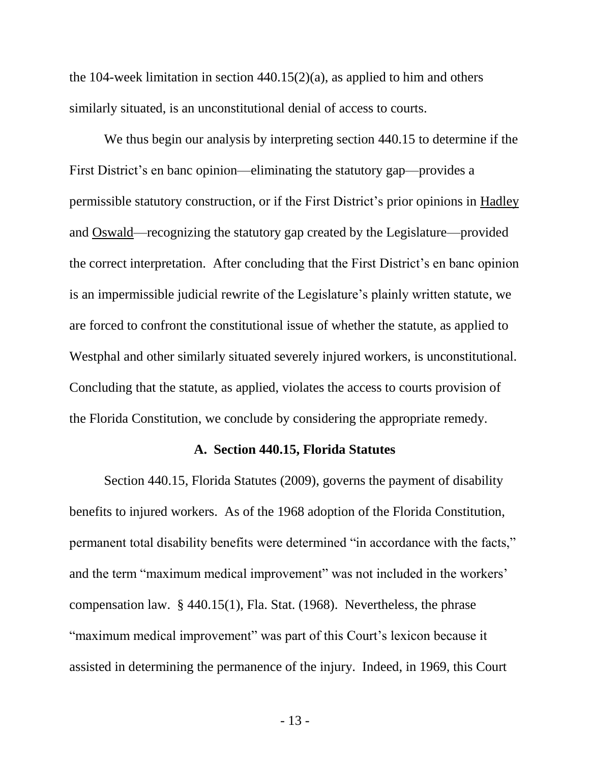the 104-week limitation in section  $440.15(2)(a)$ , as applied to him and others similarly situated, is an unconstitutional denial of access to courts.

We thus begin our analysis by interpreting section 440.15 to determine if the First District's en banc opinion—eliminating the statutory gap—provides a permissible statutory construction, or if the First District's prior opinions in Hadley and Oswald—recognizing the statutory gap created by the Legislature—provided the correct interpretation. After concluding that the First District's en banc opinion is an impermissible judicial rewrite of the Legislature's plainly written statute, we are forced to confront the constitutional issue of whether the statute, as applied to Westphal and other similarly situated severely injured workers, is unconstitutional. Concluding that the statute, as applied, violates the access to courts provision of the Florida Constitution, we conclude by considering the appropriate remedy.

#### **A. Section 440.15, Florida Statutes**

Section 440.15, Florida Statutes (2009), governs the payment of disability benefits to injured workers. As of the 1968 adoption of the Florida Constitution, permanent total disability benefits were determined "in accordance with the facts," and the term "maximum medical improvement" was not included in the workers' compensation law. § 440.15(1), Fla. Stat. (1968). Nevertheless, the phrase "maximum medical improvement" was part of this Court's lexicon because it assisted in determining the permanence of the injury. Indeed, in 1969, this Court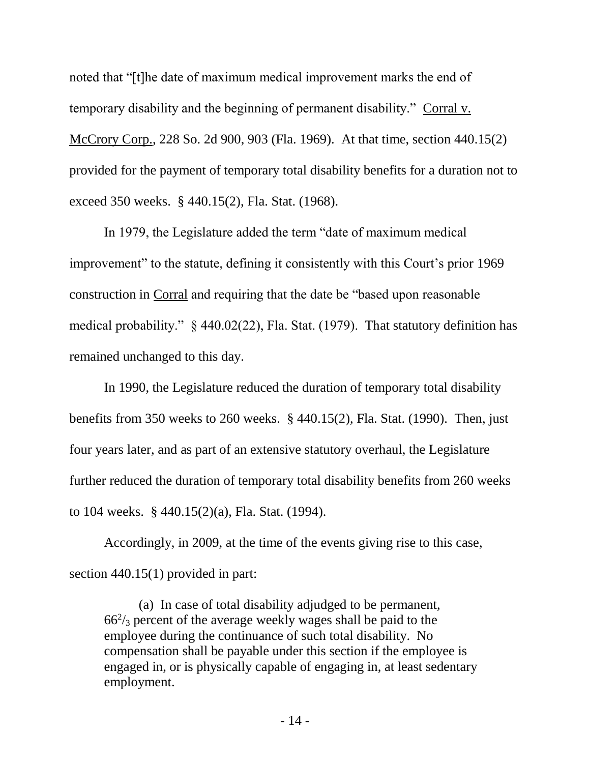noted that "[t]he date of maximum medical improvement marks the end of temporary disability and the beginning of permanent disability." Corral v. McCrory Corp., 228 So. 2d 900, 903 (Fla. 1969). At that time, section 440.15(2) provided for the payment of temporary total disability benefits for a duration not to exceed 350 weeks. § 440.15(2), Fla. Stat. (1968).

In 1979, the Legislature added the term "date of maximum medical improvement" to the statute, defining it consistently with this Court's prior 1969 construction in Corral and requiring that the date be "based upon reasonable medical probability." § 440.02(22), Fla. Stat. (1979). That statutory definition has remained unchanged to this day.

In 1990, the Legislature reduced the duration of temporary total disability benefits from 350 weeks to 260 weeks. § 440.15(2), Fla. Stat. (1990). Then, just four years later, and as part of an extensive statutory overhaul, the Legislature further reduced the duration of temporary total disability benefits from 260 weeks to 104 weeks. § 440.15(2)(a), Fla. Stat. (1994).

Accordingly, in 2009, at the time of the events giving rise to this case, section 440.15(1) provided in part:

(a) In case of total disability adjudged to be permanent,  $66<sup>2</sup>/<sub>3</sub>$  percent of the average weekly wages shall be paid to the employee during the continuance of such total disability. No compensation shall be payable under this section if the employee is engaged in, or is physically capable of engaging in, at least sedentary employment.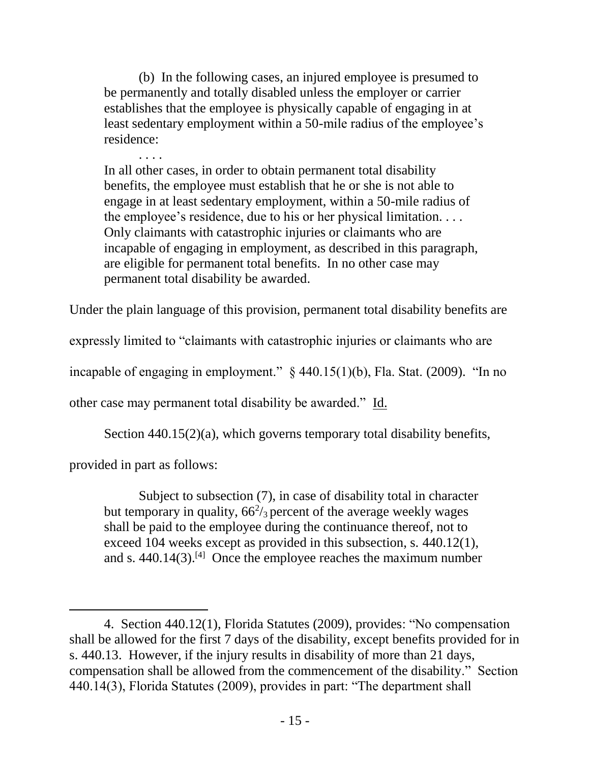(b) In the following cases, an injured employee is presumed to be permanently and totally disabled unless the employer or carrier establishes that the employee is physically capable of engaging in at least sedentary employment within a 50-mile radius of the employee's residence:

. . . . In all other cases, in order to obtain permanent total disability benefits, the employee must establish that he or she is not able to engage in at least sedentary employment, within a 50-mile radius of the employee's residence, due to his or her physical limitation. . . . Only claimants with catastrophic injuries or claimants who are incapable of engaging in employment, as described in this paragraph, are eligible for permanent total benefits. In no other case may permanent total disability be awarded.

Under the plain language of this provision, permanent total disability benefits are

expressly limited to "claimants with catastrophic injuries or claimants who are

incapable of engaging in employment."  $\S$  440.15(1)(b), Fla. Stat. (2009). "In no

other case may permanent total disability be awarded." Id.

Section 440.15(2)(a), which governs temporary total disability benefits,

provided in part as follows:

 $\overline{a}$ 

Subject to subsection (7), in case of disability total in character but temporary in quality,  $66\frac{2}{3}$  percent of the average weekly wages shall be paid to the employee during the continuance thereof, not to exceed 104 weeks except as provided in this subsection, s. 440.12(1), and s.  $440.14(3)$ .<sup>[4]</sup> Once the employee reaches the maximum number

<sup>4.</sup> Section 440.12(1), Florida Statutes (2009), provides: "No compensation shall be allowed for the first 7 days of the disability, except benefits provided for in s. 440.13. However, if the injury results in disability of more than 21 days, compensation shall be allowed from the commencement of the disability." Section 440.14(3), Florida Statutes (2009), provides in part: "The department shall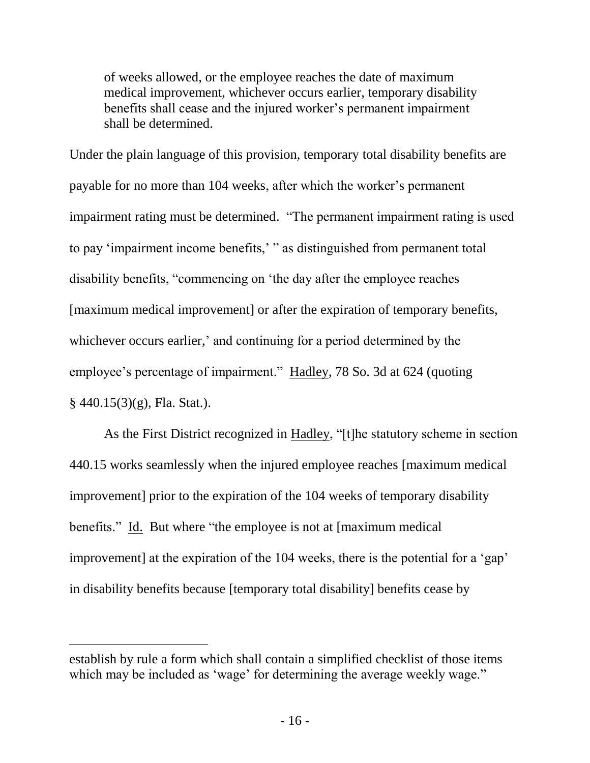of weeks allowed, or the employee reaches the date of maximum medical improvement, whichever occurs earlier, temporary disability benefits shall cease and the injured worker's permanent impairment shall be determined.

Under the plain language of this provision, temporary total disability benefits are payable for no more than 104 weeks, after which the worker's permanent impairment rating must be determined. "The permanent impairment rating is used to pay 'impairment income benefits,' " as distinguished from permanent total disability benefits, "commencing on 'the day after the employee reaches [maximum medical improvement] or after the expiration of temporary benefits, whichever occurs earlier,' and continuing for a period determined by the employee's percentage of impairment." Hadley, 78 So. 3d at 624 (quoting  $§$  440.15(3)(g), Fla. Stat.).

As the First District recognized in Hadley, "[t]he statutory scheme in section 440.15 works seamlessly when the injured employee reaches [maximum medical improvement] prior to the expiration of the 104 weeks of temporary disability benefits." Id. But where "the employee is not at [maximum medical] improvement] at the expiration of the 104 weeks, there is the potential for a 'gap' in disability benefits because [temporary total disability] benefits cease by

 $\overline{a}$ 

establish by rule a form which shall contain a simplified checklist of those items which may be included as 'wage' for determining the average weekly wage."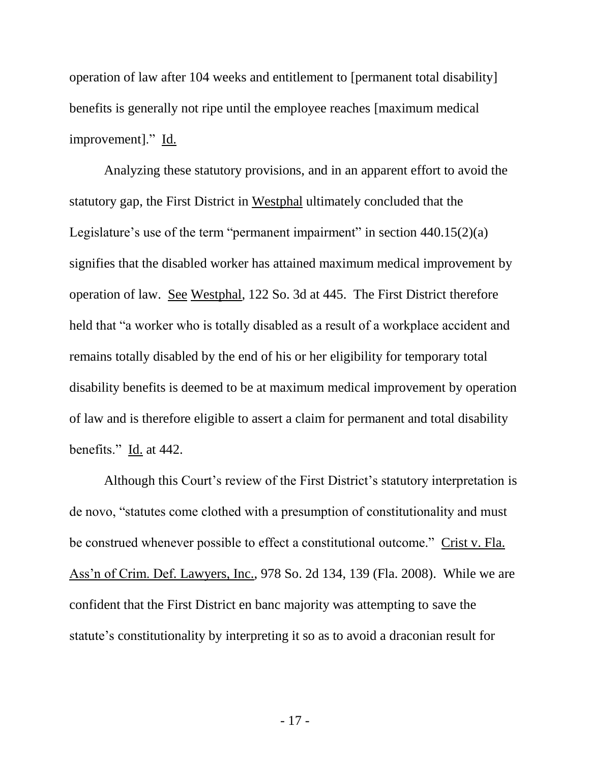operation of law after 104 weeks and entitlement to [permanent total disability] benefits is generally not ripe until the employee reaches [maximum medical improvement]." Id.

Analyzing these statutory provisions, and in an apparent effort to avoid the statutory gap, the First District in Westphal ultimately concluded that the Legislature's use of the term "permanent impairment" in section 440.15(2)(a) signifies that the disabled worker has attained maximum medical improvement by operation of law. See Westphal, 122 So. 3d at 445. The First District therefore held that "a worker who is totally disabled as a result of a workplace accident and remains totally disabled by the end of his or her eligibility for temporary total disability benefits is deemed to be at maximum medical improvement by operation of law and is therefore eligible to assert a claim for permanent and total disability benefits." Id. at 442.

Although this Court's review of the First District's statutory interpretation is de novo, "statutes come clothed with a presumption of constitutionality and must be construed whenever possible to effect a constitutional outcome." Crist v. Fla. Ass'n of Crim. Def. Lawyers, Inc., 978 So. 2d 134, 139 (Fla. 2008). While we are confident that the First District en banc majority was attempting to save the statute's constitutionality by interpreting it so as to avoid a draconian result for

- 17 -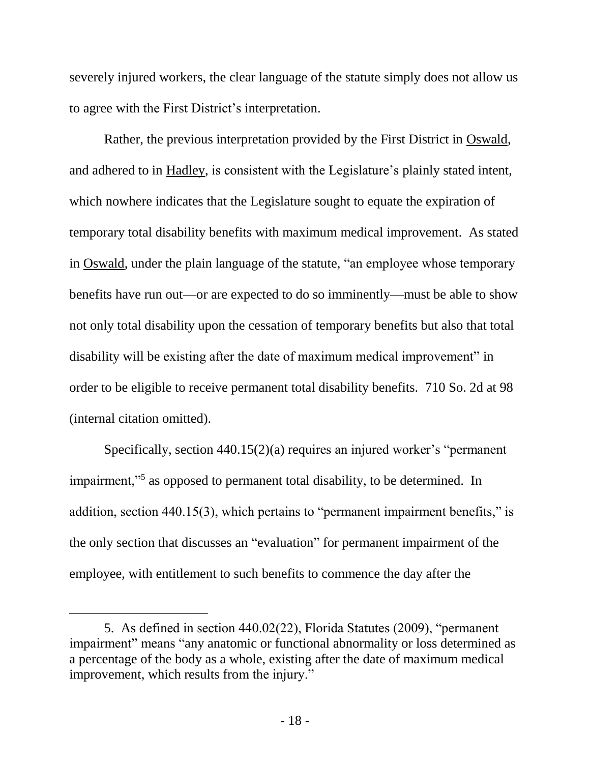severely injured workers, the clear language of the statute simply does not allow us to agree with the First District's interpretation.

Rather, the previous interpretation provided by the First District in Oswald, and adhered to in Hadley, is consistent with the Legislature's plainly stated intent, which nowhere indicates that the Legislature sought to equate the expiration of temporary total disability benefits with maximum medical improvement. As stated in Oswald, under the plain language of the statute, "an employee whose temporary benefits have run out—or are expected to do so imminently—must be able to show not only total disability upon the cessation of temporary benefits but also that total disability will be existing after the date of maximum medical improvement" in order to be eligible to receive permanent total disability benefits. 710 So. 2d at 98 (internal citation omitted).

Specifically, section 440.15(2)(a) requires an injured worker's "permanent impairment,"<sup>5</sup> as opposed to permanent total disability, to be determined. In addition, section 440.15(3), which pertains to "permanent impairment benefits," is the only section that discusses an "evaluation" for permanent impairment of the employee, with entitlement to such benefits to commence the day after the

 $\overline{a}$ 

<sup>5.</sup> As defined in section 440.02(22), Florida Statutes (2009), "permanent impairment" means "any anatomic or functional abnormality or loss determined as a percentage of the body as a whole, existing after the date of maximum medical improvement, which results from the injury."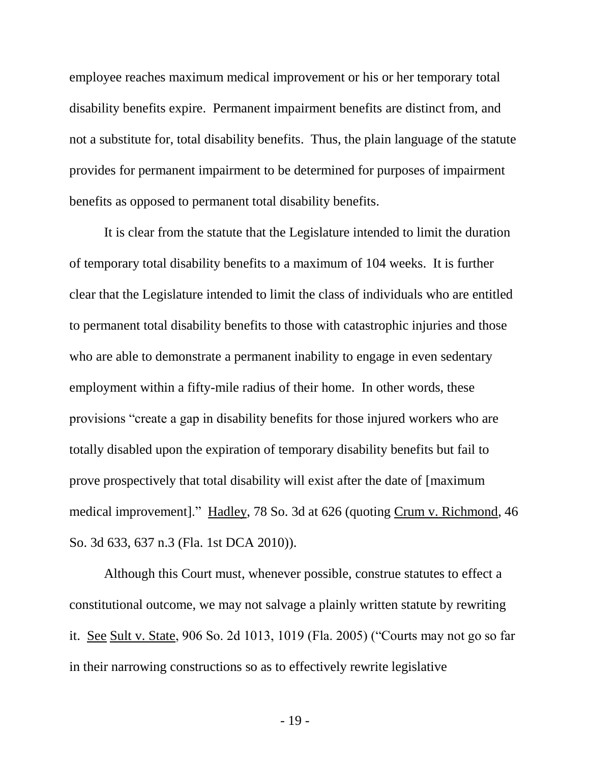employee reaches maximum medical improvement or his or her temporary total disability benefits expire. Permanent impairment benefits are distinct from, and not a substitute for, total disability benefits. Thus, the plain language of the statute provides for permanent impairment to be determined for purposes of impairment benefits as opposed to permanent total disability benefits.

It is clear from the statute that the Legislature intended to limit the duration of temporary total disability benefits to a maximum of 104 weeks. It is further clear that the Legislature intended to limit the class of individuals who are entitled to permanent total disability benefits to those with catastrophic injuries and those who are able to demonstrate a permanent inability to engage in even sedentary employment within a fifty-mile radius of their home. In other words, these provisions "create a gap in disability benefits for those injured workers who are totally disabled upon the expiration of temporary disability benefits but fail to prove prospectively that total disability will exist after the date of [maximum medical improvement]." Hadley, 78 So. 3d at 626 (quoting Crum v. Richmond, 46 So. 3d 633, 637 n.3 (Fla. 1st DCA 2010)).

Although this Court must, whenever possible, construe statutes to effect a constitutional outcome, we may not salvage a plainly written statute by rewriting it. See Sult v. State, 906 So. 2d 1013, 1019 (Fla. 2005) ("Courts may not go so far in their narrowing constructions so as to effectively rewrite legislative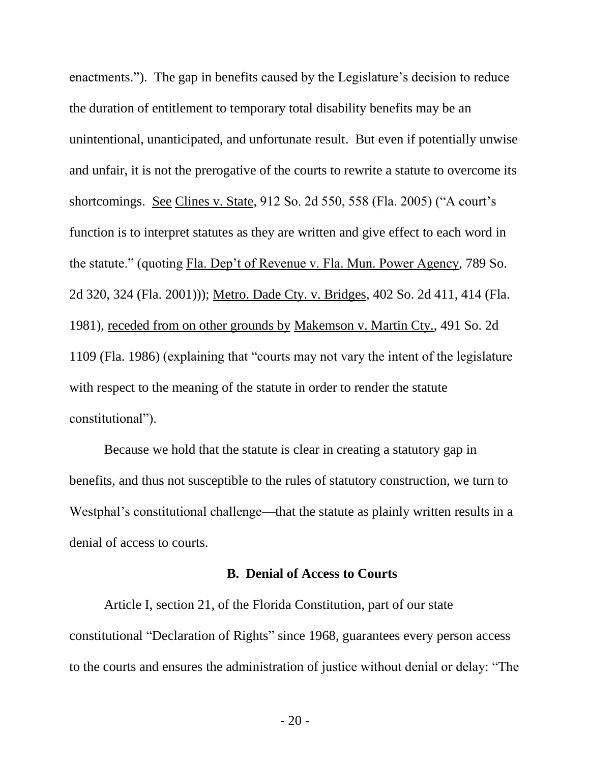enactments."). The gap in benefits caused by the Legislature's decision to reduce the duration of entitlement to temporary total disability benefits may be an unintentional, unanticipated, and unfortunate result. But even if potentially unwise and unfair, it is not the prerogative of the courts to rewrite a statute to overcome its shortcomings. See Clines v. State, 912 So. 2d 550, 558 (Fla. 2005) ("A court's function is to interpret statutes as they are written and give effect to each word in the statute." (quoting Fla. Dep't of Revenue v. Fla. Mun. Power Agency, 789 So. 2d 320, 324 (Fla. 2001))); Metro. Dade Cty. v. Bridges, 402 So. 2d 411, 414 (Fla. 1981), receded from on other grounds by Makemson v. Martin Cty., 491 So. 2d 1109 (Fla. 1986) (explaining that "courts may not vary the intent of the legislature with respect to the meaning of the statute in order to render the statute constitutional").

Because we hold that the statute is clear in creating a statutory gap in benefits, and thus not susceptible to the rules of statutory construction, we turn to Westphal's constitutional challenge—that the statute as plainly written results in a denial of access to courts.

#### **B. Denial of Access to Courts**

Article I, section 21, of the Florida Constitution, part of our state constitutional "Declaration of Rights" since 1968, guarantees every person access to the courts and ensures the administration of justice without denial or delay: "The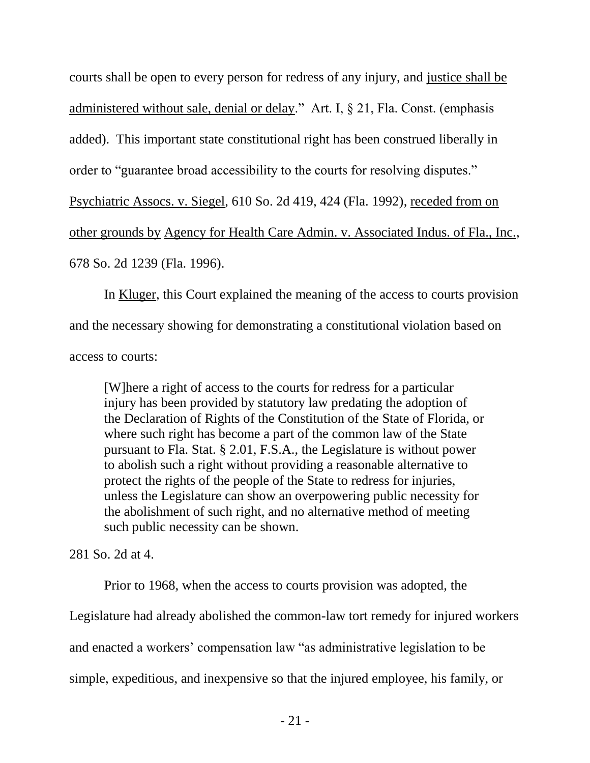courts shall be open to every person for redress of any injury, and justice shall be administered without sale, denial or delay." Art. I, § 21, Fla. Const. (emphasis added). This important state constitutional right has been construed liberally in order to "guarantee broad accessibility to the courts for resolving disputes." Psychiatric Assocs. v. Siegel, 610 So. 2d 419, 424 (Fla. 1992), receded from on other grounds by Agency for Health Care Admin. v. Associated Indus. of Fla., Inc., 678 So. 2d 1239 (Fla. 1996).

In Kluger, this Court explained the meaning of the access to courts provision and the necessary showing for demonstrating a constitutional violation based on access to courts:

[W]here a right of access to the courts for redress for a particular injury has been provided by statutory law predating the adoption of the Declaration of Rights of the Constitution of the State of Florida, or where such right has become a part of the common law of the State pursuant to Fla. Stat. § 2.01, F.S.A., the Legislature is without power to abolish such a right without providing a reasonable alternative to protect the rights of the people of the State to redress for injuries, unless the Legislature can show an overpowering public necessity for the abolishment of such right, and no alternative method of meeting such public necessity can be shown.

281 So. 2d at 4.

Prior to 1968, when the access to courts provision was adopted, the Legislature had already abolished the common-law tort remedy for injured workers and enacted a workers' compensation law "as administrative legislation to be simple, expeditious, and inexpensive so that the injured employee, his family, or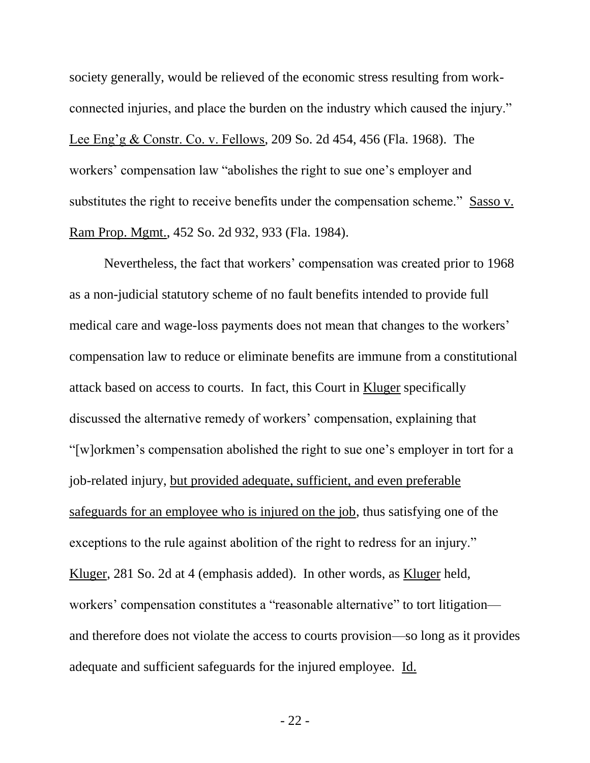society generally, would be relieved of the economic stress resulting from workconnected injuries, and place the burden on the industry which caused the injury." Lee Eng'g & Constr. Co. v. Fellows, 209 So. 2d 454, 456 (Fla. 1968). The workers' compensation law "abolishes the right to sue one's employer and substitutes the right to receive benefits under the compensation scheme." Sasso v. Ram Prop. Mgmt., 452 So. 2d 932, 933 (Fla. 1984).

Nevertheless, the fact that workers' compensation was created prior to 1968 as a non-judicial statutory scheme of no fault benefits intended to provide full medical care and wage-loss payments does not mean that changes to the workers' compensation law to reduce or eliminate benefits are immune from a constitutional attack based on access to courts. In fact, this Court in Kluger specifically discussed the alternative remedy of workers' compensation, explaining that "[w]orkmen's compensation abolished the right to sue one's employer in tort for a job-related injury, but provided adequate, sufficient, and even preferable safeguards for an employee who is injured on the job, thus satisfying one of the exceptions to the rule against abolition of the right to redress for an injury." Kluger, 281 So. 2d at 4 (emphasis added). In other words, as Kluger held, workers' compensation constitutes a "reasonable alternative" to tort litigation and therefore does not violate the access to courts provision—so long as it provides adequate and sufficient safeguards for the injured employee. Id.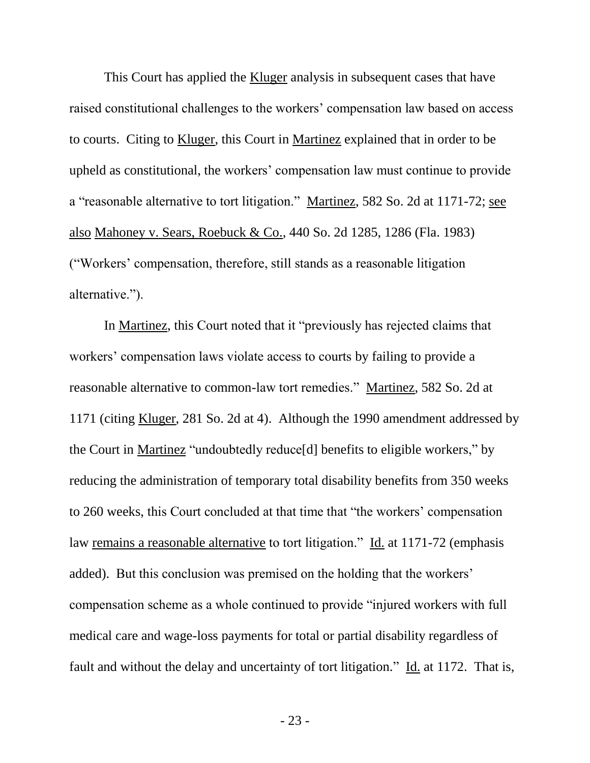This Court has applied the Kluger analysis in subsequent cases that have raised constitutional challenges to the workers' compensation law based on access to courts. Citing to Kluger, this Court in Martinez explained that in order to be upheld as constitutional, the workers' compensation law must continue to provide a "reasonable alternative to tort litigation." Martinez, 582 So. 2d at 1171-72; see also Mahoney v. Sears, Roebuck & Co., 440 So. 2d 1285, 1286 (Fla. 1983) ("Workers' compensation, therefore, still stands as a reasonable litigation alternative.").

In Martinez, this Court noted that it "previously has rejected claims that workers' compensation laws violate access to courts by failing to provide a reasonable alternative to common-law tort remedies." Martinez, 582 So. 2d at 1171 (citing Kluger, 281 So. 2d at 4). Although the 1990 amendment addressed by the Court in Martinez "undoubtedly reduce[d] benefits to eligible workers," by reducing the administration of temporary total disability benefits from 350 weeks to 260 weeks, this Court concluded at that time that "the workers' compensation law remains a reasonable alternative to tort litigation." Id. at 1171-72 (emphasis added). But this conclusion was premised on the holding that the workers' compensation scheme as a whole continued to provide "injured workers with full medical care and wage-loss payments for total or partial disability regardless of fault and without the delay and uncertainty of tort litigation." Id. at 1172. That is,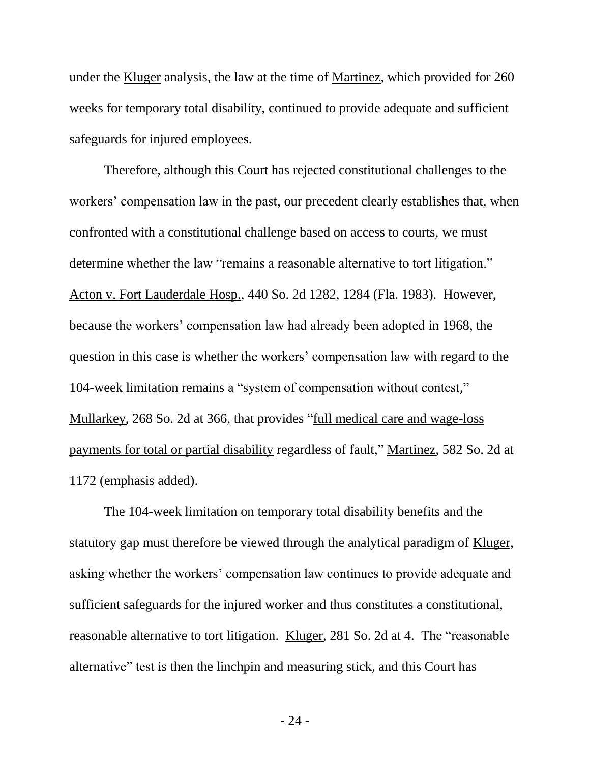under the Kluger analysis, the law at the time of Martinez, which provided for 260 weeks for temporary total disability, continued to provide adequate and sufficient safeguards for injured employees.

Therefore, although this Court has rejected constitutional challenges to the workers' compensation law in the past, our precedent clearly establishes that, when confronted with a constitutional challenge based on access to courts, we must determine whether the law "remains a reasonable alternative to tort litigation." Acton v. Fort Lauderdale Hosp., 440 So. 2d 1282, 1284 (Fla. 1983). However, because the workers' compensation law had already been adopted in 1968, the question in this case is whether the workers' compensation law with regard to the 104-week limitation remains a "system of compensation without contest," Mullarkey, 268 So. 2d at 366, that provides "full medical care and wage-loss payments for total or partial disability regardless of fault," Martinez, 582 So. 2d at 1172 (emphasis added).

The 104-week limitation on temporary total disability benefits and the statutory gap must therefore be viewed through the analytical paradigm of Kluger, asking whether the workers' compensation law continues to provide adequate and sufficient safeguards for the injured worker and thus constitutes a constitutional, reasonable alternative to tort litigation. Kluger, 281 So. 2d at 4. The "reasonable alternative" test is then the linchpin and measuring stick, and this Court has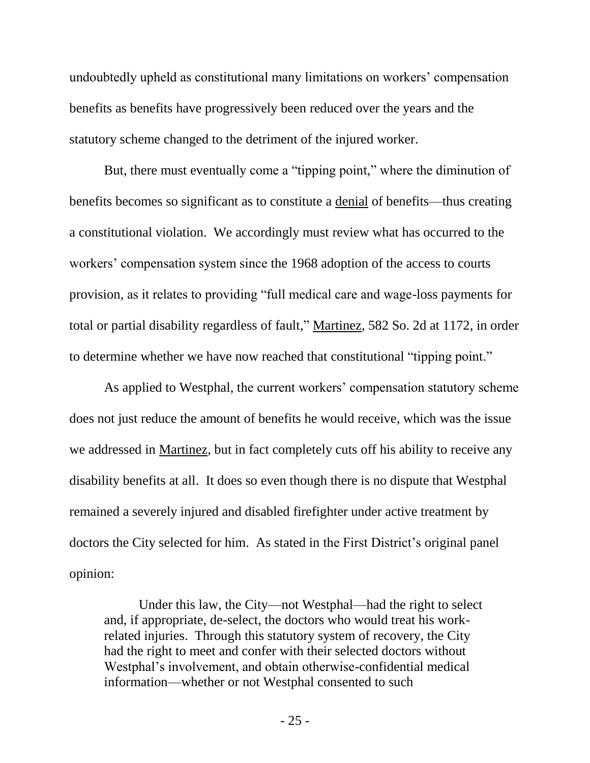undoubtedly upheld as constitutional many limitations on workers' compensation benefits as benefits have progressively been reduced over the years and the statutory scheme changed to the detriment of the injured worker.

But, there must eventually come a "tipping point," where the diminution of benefits becomes so significant as to constitute a denial of benefits—thus creating a constitutional violation. We accordingly must review what has occurred to the workers' compensation system since the 1968 adoption of the access to courts provision, as it relates to providing "full medical care and wage-loss payments for total or partial disability regardless of fault," Martinez, 582 So. 2d at 1172, in order to determine whether we have now reached that constitutional "tipping point."

As applied to Westphal, the current workers' compensation statutory scheme does not just reduce the amount of benefits he would receive, which was the issue we addressed in Martinez, but in fact completely cuts off his ability to receive any disability benefits at all. It does so even though there is no dispute that Westphal remained a severely injured and disabled firefighter under active treatment by doctors the City selected for him. As stated in the First District's original panel opinion:

Under this law, the City—not Westphal—had the right to select and, if appropriate, de-select, the doctors who would treat his workrelated injuries. Through this statutory system of recovery, the City had the right to meet and confer with their selected doctors without Westphal's involvement, and obtain otherwise-confidential medical information—whether or not Westphal consented to such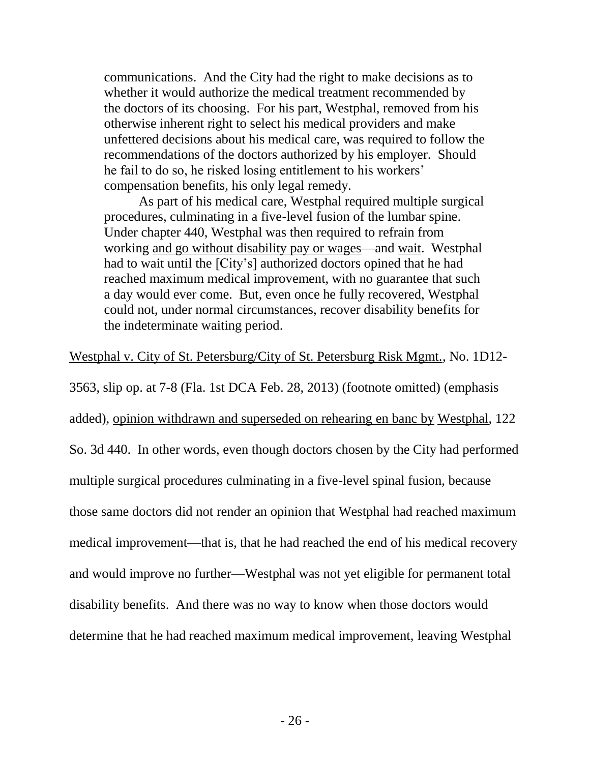communications. And the City had the right to make decisions as to whether it would authorize the medical treatment recommended by the doctors of its choosing. For his part, Westphal, removed from his otherwise inherent right to select his medical providers and make unfettered decisions about his medical care, was required to follow the recommendations of the doctors authorized by his employer. Should he fail to do so, he risked losing entitlement to his workers' compensation benefits, his only legal remedy.

As part of his medical care, Westphal required multiple surgical procedures, culminating in a five-level fusion of the lumbar spine. Under chapter 440, Westphal was then required to refrain from working and go without disability pay or wages—and wait. Westphal had to wait until the [City's] authorized doctors opined that he had reached maximum medical improvement, with no guarantee that such a day would ever come. But, even once he fully recovered, Westphal could not, under normal circumstances, recover disability benefits for the indeterminate waiting period.

## Westphal v. City of St. Petersburg/City of St. Petersburg Risk Mgmt., No. 1D12-

3563, slip op. at 7-8 (Fla. 1st DCA Feb. 28, 2013) (footnote omitted) (emphasis added), opinion withdrawn and superseded on rehearing en banc by Westphal, 122 So. 3d 440. In other words, even though doctors chosen by the City had performed multiple surgical procedures culminating in a five-level spinal fusion, because those same doctors did not render an opinion that Westphal had reached maximum medical improvement—that is, that he had reached the end of his medical recovery and would improve no further—Westphal was not yet eligible for permanent total disability benefits. And there was no way to know when those doctors would determine that he had reached maximum medical improvement, leaving Westphal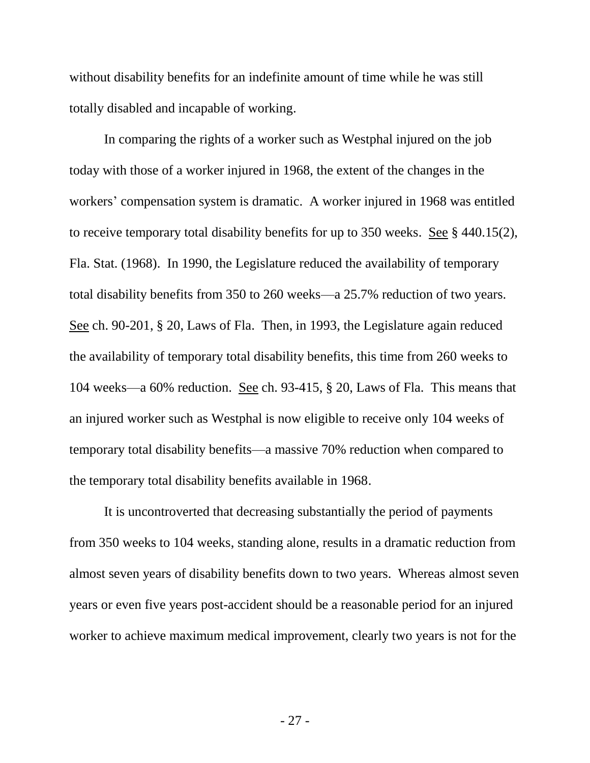without disability benefits for an indefinite amount of time while he was still totally disabled and incapable of working.

In comparing the rights of a worker such as Westphal injured on the job today with those of a worker injured in 1968, the extent of the changes in the workers' compensation system is dramatic. A worker injured in 1968 was entitled to receive temporary total disability benefits for up to 350 weeks. See § 440.15(2), Fla. Stat. (1968). In 1990, the Legislature reduced the availability of temporary total disability benefits from 350 to 260 weeks—a 25.7% reduction of two years. See ch. 90-201, § 20, Laws of Fla. Then, in 1993, the Legislature again reduced the availability of temporary total disability benefits, this time from 260 weeks to 104 weeks—a 60% reduction. See ch. 93-415, § 20, Laws of Fla. This means that an injured worker such as Westphal is now eligible to receive only 104 weeks of temporary total disability benefits—a massive 70% reduction when compared to the temporary total disability benefits available in 1968.

It is uncontroverted that decreasing substantially the period of payments from 350 weeks to 104 weeks, standing alone, results in a dramatic reduction from almost seven years of disability benefits down to two years. Whereas almost seven years or even five years post-accident should be a reasonable period for an injured worker to achieve maximum medical improvement, clearly two years is not for the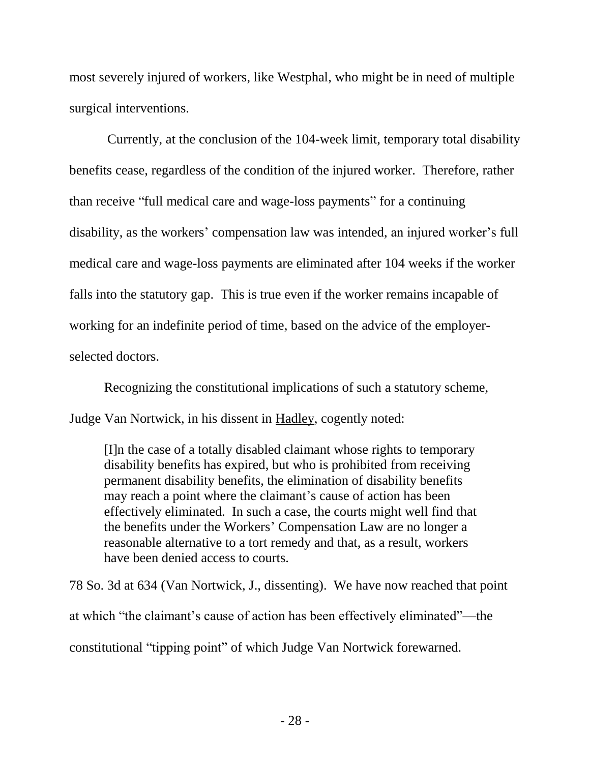most severely injured of workers, like Westphal, who might be in need of multiple surgical interventions.

Currently, at the conclusion of the 104-week limit, temporary total disability benefits cease, regardless of the condition of the injured worker. Therefore, rather than receive "full medical care and wage-loss payments" for a continuing disability, as the workers' compensation law was intended, an injured worker's full medical care and wage-loss payments are eliminated after 104 weeks if the worker falls into the statutory gap. This is true even if the worker remains incapable of working for an indefinite period of time, based on the advice of the employerselected doctors.

Recognizing the constitutional implications of such a statutory scheme, Judge Van Nortwick, in his dissent in Hadley, cogently noted:

[I]n the case of a totally disabled claimant whose rights to temporary disability benefits has expired, but who is prohibited from receiving permanent disability benefits, the elimination of disability benefits may reach a point where the claimant's cause of action has been effectively eliminated. In such a case, the courts might well find that the benefits under the Workers' Compensation Law are no longer a reasonable alternative to a tort remedy and that, as a result, workers have been denied access to courts.

78 So. 3d at 634 (Van Nortwick, J., dissenting). We have now reached that point at which "the claimant's cause of action has been effectively eliminated"—the constitutional "tipping point" of which Judge Van Nortwick forewarned.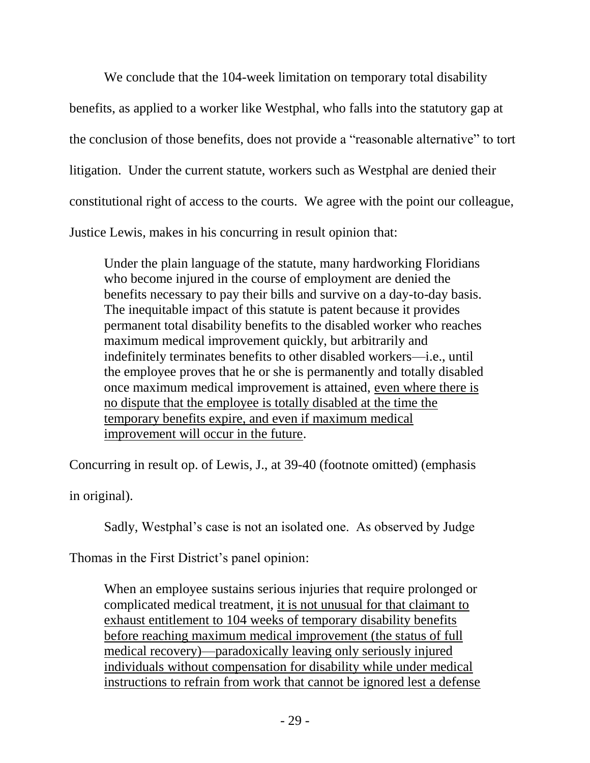We conclude that the 104-week limitation on temporary total disability benefits, as applied to a worker like Westphal, who falls into the statutory gap at the conclusion of those benefits, does not provide a "reasonable alternative" to tort litigation. Under the current statute, workers such as Westphal are denied their constitutional right of access to the courts. We agree with the point our colleague, Justice Lewis, makes in his concurring in result opinion that:

Under the plain language of the statute, many hardworking Floridians who become injured in the course of employment are denied the benefits necessary to pay their bills and survive on a day-to-day basis. The inequitable impact of this statute is patent because it provides permanent total disability benefits to the disabled worker who reaches maximum medical improvement quickly, but arbitrarily and indefinitely terminates benefits to other disabled workers—i.e., until the employee proves that he or she is permanently and totally disabled once maximum medical improvement is attained, even where there is no dispute that the employee is totally disabled at the time the temporary benefits expire, and even if maximum medical improvement will occur in the future.

Concurring in result op. of Lewis, J., at 39-40 (footnote omitted) (emphasis

in original).

Sadly, Westphal's case is not an isolated one. As observed by Judge

Thomas in the First District's panel opinion:

When an employee sustains serious injuries that require prolonged or complicated medical treatment, it is not unusual for that claimant to exhaust entitlement to 104 weeks of temporary disability benefits before reaching maximum medical improvement (the status of full medical recovery)—paradoxically leaving only seriously injured individuals without compensation for disability while under medical instructions to refrain from work that cannot be ignored lest a defense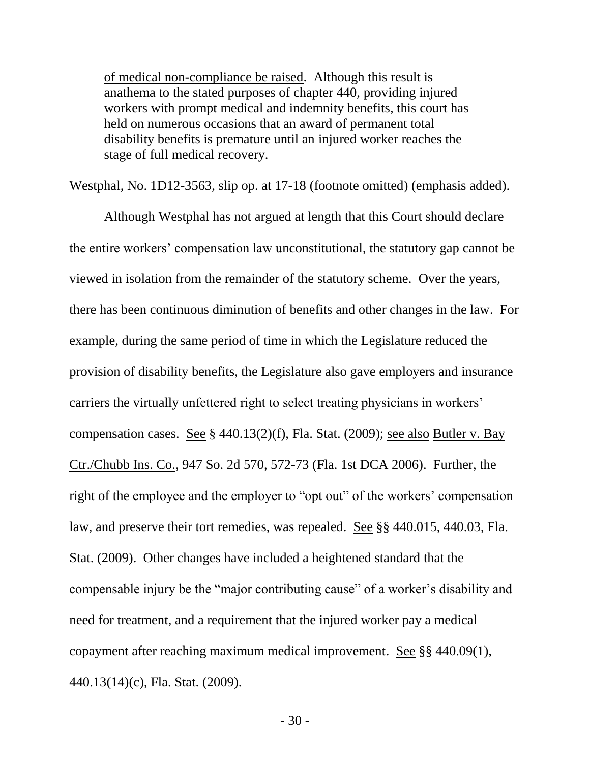of medical non-compliance be raised. Although this result is anathema to the stated purposes of chapter 440, providing injured workers with prompt medical and indemnity benefits, this court has held on numerous occasions that an award of permanent total disability benefits is premature until an injured worker reaches the stage of full medical recovery.

Westphal, No. 1D12-3563, slip op. at 17-18 (footnote omitted) (emphasis added).

Although Westphal has not argued at length that this Court should declare the entire workers' compensation law unconstitutional, the statutory gap cannot be viewed in isolation from the remainder of the statutory scheme. Over the years, there has been continuous diminution of benefits and other changes in the law. For example, during the same period of time in which the Legislature reduced the provision of disability benefits, the Legislature also gave employers and insurance carriers the virtually unfettered right to select treating physicians in workers' compensation cases. See § 440.13(2)(f), Fla. Stat. (2009); see also Butler v. Bay Ctr./Chubb Ins. Co., 947 So. 2d 570, 572-73 (Fla. 1st DCA 2006). Further, the right of the employee and the employer to "opt out" of the workers' compensation law, and preserve their tort remedies, was repealed. See §§ 440.015, 440.03, Fla. Stat. (2009). Other changes have included a heightened standard that the compensable injury be the "major contributing cause" of a worker's disability and need for treatment, and a requirement that the injured worker pay a medical copayment after reaching maximum medical improvement. See §§ 440.09(1), 440.13(14)(c), Fla. Stat. (2009).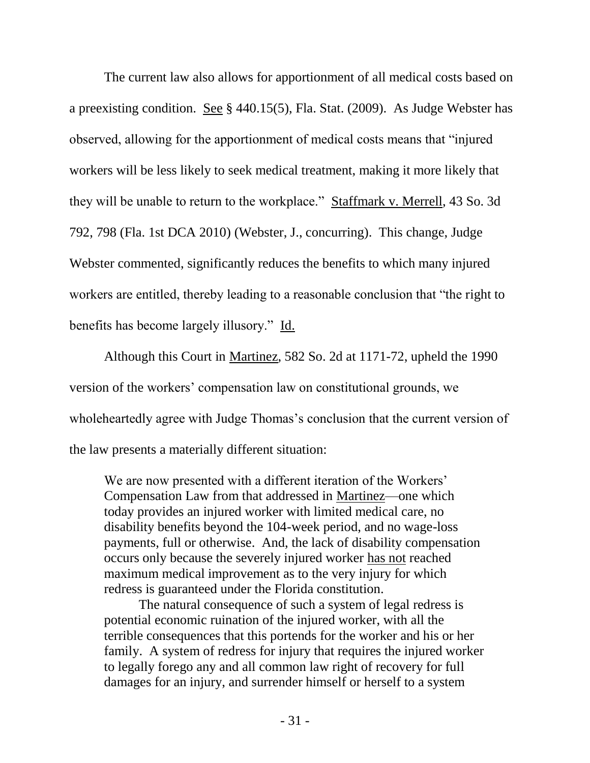The current law also allows for apportionment of all medical costs based on a preexisting condition. See § 440.15(5), Fla. Stat. (2009). As Judge Webster has observed, allowing for the apportionment of medical costs means that "injured workers will be less likely to seek medical treatment, making it more likely that they will be unable to return to the workplace." Staffmark v. Merrell, 43 So. 3d 792, 798 (Fla. 1st DCA 2010) (Webster, J., concurring). This change, Judge Webster commented, significantly reduces the benefits to which many injured workers are entitled, thereby leading to a reasonable conclusion that "the right to benefits has become largely illusory." Id.

Although this Court in Martinez, 582 So. 2d at 1171-72, upheld the 1990 version of the workers' compensation law on constitutional grounds, we wholeheartedly agree with Judge Thomas's conclusion that the current version of the law presents a materially different situation:

We are now presented with a different iteration of the Workers' Compensation Law from that addressed in Martinez—one which today provides an injured worker with limited medical care, no disability benefits beyond the 104-week period, and no wage-loss payments, full or otherwise. And, the lack of disability compensation occurs only because the severely injured worker has not reached maximum medical improvement as to the very injury for which redress is guaranteed under the Florida constitution.

The natural consequence of such a system of legal redress is potential economic ruination of the injured worker, with all the terrible consequences that this portends for the worker and his or her family. A system of redress for injury that requires the injured worker to legally forego any and all common law right of recovery for full damages for an injury, and surrender himself or herself to a system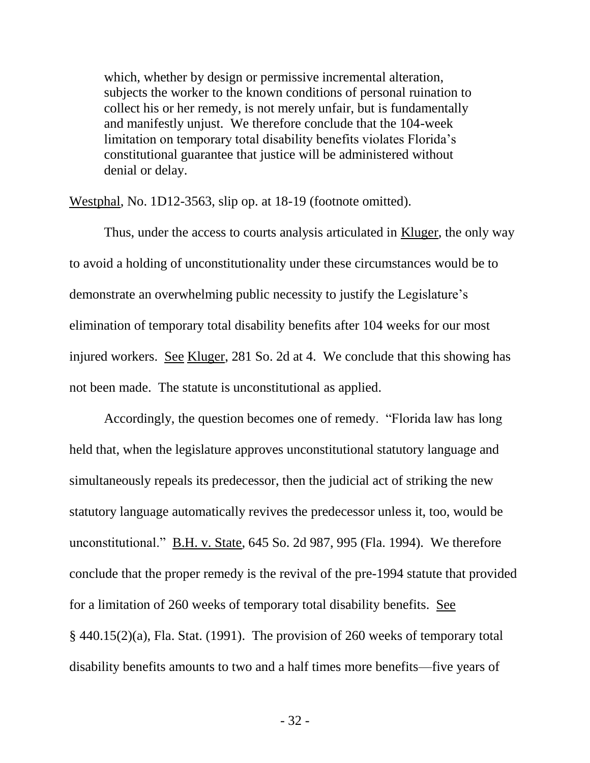which, whether by design or permissive incremental alteration, subjects the worker to the known conditions of personal ruination to collect his or her remedy, is not merely unfair, but is fundamentally and manifestly unjust. We therefore conclude that the 104-week limitation on temporary total disability benefits violates Florida's constitutional guarantee that justice will be administered without denial or delay.

Westphal, No. 1D12-3563, slip op. at 18-19 (footnote omitted).

Thus, under the access to courts analysis articulated in Kluger, the only way to avoid a holding of unconstitutionality under these circumstances would be to demonstrate an overwhelming public necessity to justify the Legislature's elimination of temporary total disability benefits after 104 weeks for our most injured workers. See Kluger, 281 So. 2d at 4. We conclude that this showing has not been made. The statute is unconstitutional as applied.

Accordingly, the question becomes one of remedy. "Florida law has long held that, when the legislature approves unconstitutional statutory language and simultaneously repeals its predecessor, then the judicial act of striking the new statutory language automatically revives the predecessor unless it, too, would be unconstitutional." B.H. v. State, 645 So. 2d 987, 995 (Fla. 1994). We therefore conclude that the proper remedy is the revival of the pre-1994 statute that provided for a limitation of 260 weeks of temporary total disability benefits. See § 440.15(2)(a), Fla. Stat. (1991). The provision of 260 weeks of temporary total disability benefits amounts to two and a half times more benefits—five years of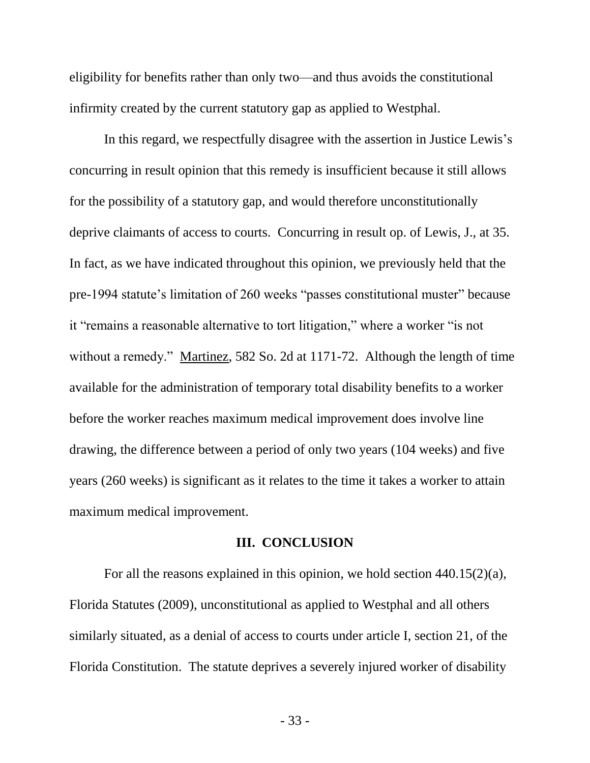eligibility for benefits rather than only two—and thus avoids the constitutional infirmity created by the current statutory gap as applied to Westphal.

In this regard, we respectfully disagree with the assertion in Justice Lewis's concurring in result opinion that this remedy is insufficient because it still allows for the possibility of a statutory gap, and would therefore unconstitutionally deprive claimants of access to courts. Concurring in result op. of Lewis, J., at 35. In fact, as we have indicated throughout this opinion, we previously held that the pre-1994 statute's limitation of 260 weeks "passes constitutional muster" because it "remains a reasonable alternative to tort litigation," where a worker "is not without a remedy." Martinez, 582 So. 2d at 1171-72. Although the length of time available for the administration of temporary total disability benefits to a worker before the worker reaches maximum medical improvement does involve line drawing, the difference between a period of only two years (104 weeks) and five years (260 weeks) is significant as it relates to the time it takes a worker to attain maximum medical improvement.

#### **III. CONCLUSION**

For all the reasons explained in this opinion, we hold section 440.15(2)(a), Florida Statutes (2009), unconstitutional as applied to Westphal and all others similarly situated, as a denial of access to courts under article I, section 21, of the Florida Constitution. The statute deprives a severely injured worker of disability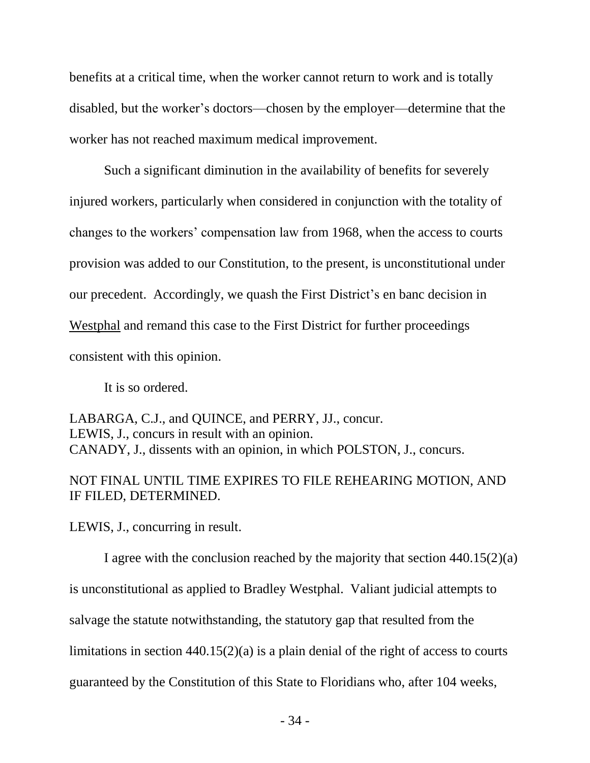benefits at a critical time, when the worker cannot return to work and is totally disabled, but the worker's doctors—chosen by the employer—determine that the worker has not reached maximum medical improvement.

Such a significant diminution in the availability of benefits for severely injured workers, particularly when considered in conjunction with the totality of changes to the workers' compensation law from 1968, when the access to courts provision was added to our Constitution, to the present, is unconstitutional under our precedent. Accordingly, we quash the First District's en banc decision in Westphal and remand this case to the First District for further proceedings consistent with this opinion.

It is so ordered.

LABARGA, C.J., and QUINCE, and PERRY, JJ., concur. LEWIS, J., concurs in result with an opinion. CANADY, J., dissents with an opinion, in which POLSTON, J., concurs.

# NOT FINAL UNTIL TIME EXPIRES TO FILE REHEARING MOTION, AND IF FILED, DETERMINED.

LEWIS, J., concurring in result.

I agree with the conclusion reached by the majority that section  $440.15(2)(a)$ is unconstitutional as applied to Bradley Westphal. Valiant judicial attempts to salvage the statute notwithstanding, the statutory gap that resulted from the limitations in section 440.15(2)(a) is a plain denial of the right of access to courts guaranteed by the Constitution of this State to Floridians who, after 104 weeks,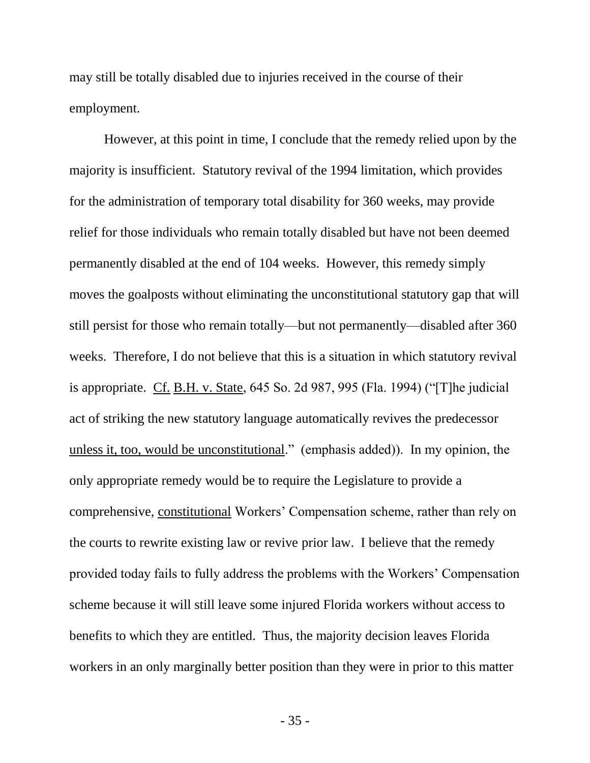may still be totally disabled due to injuries received in the course of their employment.

However, at this point in time, I conclude that the remedy relied upon by the majority is insufficient. Statutory revival of the 1994 limitation, which provides for the administration of temporary total disability for 360 weeks, may provide relief for those individuals who remain totally disabled but have not been deemed permanently disabled at the end of 104 weeks. However, this remedy simply moves the goalposts without eliminating the unconstitutional statutory gap that will still persist for those who remain totally—but not permanently—disabled after 360 weeks. Therefore, I do not believe that this is a situation in which statutory revival is appropriate. Cf. B.H. v. State, 645 So. 2d 987, 995 (Fla. 1994) ("[T]he judicial act of striking the new statutory language automatically revives the predecessor unless it, too, would be unconstitutional." (emphasis added)). In my opinion, the only appropriate remedy would be to require the Legislature to provide a comprehensive, constitutional Workers' Compensation scheme, rather than rely on the courts to rewrite existing law or revive prior law. I believe that the remedy provided today fails to fully address the problems with the Workers' Compensation scheme because it will still leave some injured Florida workers without access to benefits to which they are entitled. Thus, the majority decision leaves Florida workers in an only marginally better position than they were in prior to this matter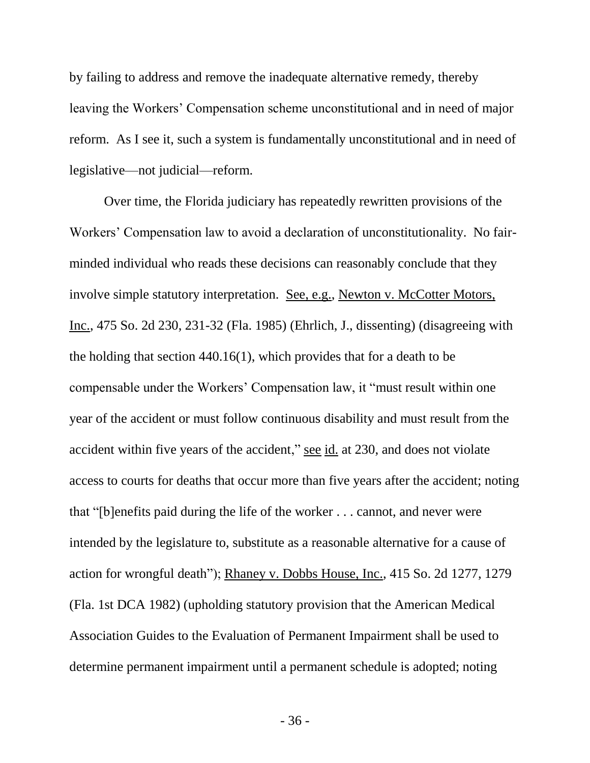by failing to address and remove the inadequate alternative remedy, thereby leaving the Workers' Compensation scheme unconstitutional and in need of major reform. As I see it, such a system is fundamentally unconstitutional and in need of legislative—not judicial—reform.

Over time, the Florida judiciary has repeatedly rewritten provisions of the Workers' Compensation law to avoid a declaration of unconstitutionality. No fairminded individual who reads these decisions can reasonably conclude that they involve simple statutory interpretation. See, e.g., Newton v. McCotter Motors, Inc., 475 So. 2d 230, 231-32 (Fla. 1985) (Ehrlich, J., dissenting) (disagreeing with the holding that section 440.16(1), which provides that for a death to be compensable under the Workers' Compensation law, it "must result within one year of the accident or must follow continuous disability and must result from the accident within five years of the accident," see id. at 230, and does not violate access to courts for deaths that occur more than five years after the accident; noting that "[b]enefits paid during the life of the worker . . . cannot, and never were intended by the legislature to, substitute as a reasonable alternative for a cause of action for wrongful death"); Rhaney v. Dobbs House, Inc., 415 So. 2d 1277, 1279 (Fla. 1st DCA 1982) (upholding statutory provision that the American Medical Association Guides to the Evaluation of Permanent Impairment shall be used to determine permanent impairment until a permanent schedule is adopted; noting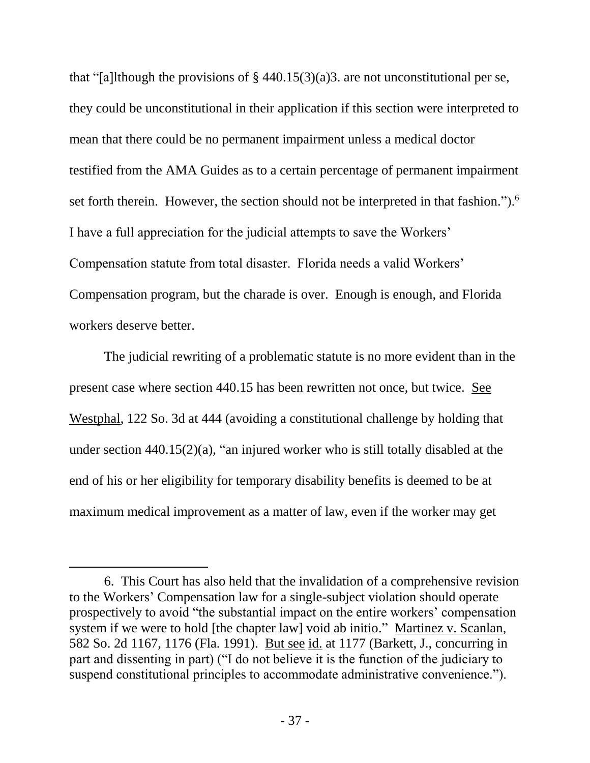that "[a]lthough the provisions of  $\S$  440.15(3)(a)3. are not unconstitutional per se, they could be unconstitutional in their application if this section were interpreted to mean that there could be no permanent impairment unless a medical doctor testified from the AMA Guides as to a certain percentage of permanent impairment set forth therein. However, the section should not be interpreted in that fashion.").<sup>6</sup> I have a full appreciation for the judicial attempts to save the Workers' Compensation statute from total disaster. Florida needs a valid Workers' Compensation program, but the charade is over. Enough is enough, and Florida workers deserve better.

The judicial rewriting of a problematic statute is no more evident than in the present case where section 440.15 has been rewritten not once, but twice. See Westphal, 122 So. 3d at 444 (avoiding a constitutional challenge by holding that under section 440.15(2)(a), "an injured worker who is still totally disabled at the end of his or her eligibility for temporary disability benefits is deemed to be at maximum medical improvement as a matter of law, even if the worker may get

l

<sup>6.</sup> This Court has also held that the invalidation of a comprehensive revision to the Workers' Compensation law for a single-subject violation should operate prospectively to avoid "the substantial impact on the entire workers' compensation system if we were to hold [the chapter law] void ab initio." Martinez v. Scanlan, 582 So. 2d 1167, 1176 (Fla. 1991). But see id. at 1177 (Barkett, J., concurring in part and dissenting in part) ("I do not believe it is the function of the judiciary to suspend constitutional principles to accommodate administrative convenience.").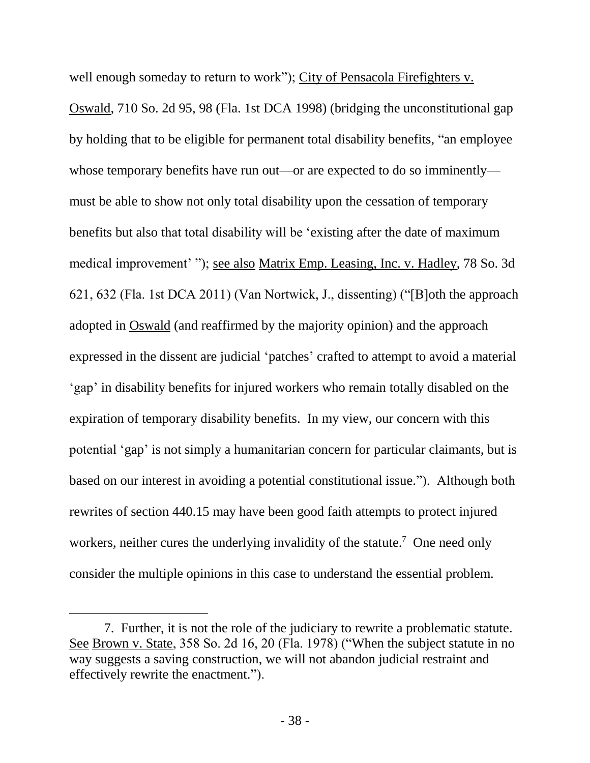well enough someday to return to work"); City of Pensacola Firefighters v. Oswald, 710 So. 2d 95, 98 (Fla. 1st DCA 1998) (bridging the unconstitutional gap by holding that to be eligible for permanent total disability benefits, "an employee whose temporary benefits have run out—or are expected to do so imminently must be able to show not only total disability upon the cessation of temporary benefits but also that total disability will be 'existing after the date of maximum medical improvement' "); see also Matrix Emp. Leasing, Inc. v. Hadley, 78 So. 3d 621, 632 (Fla. 1st DCA 2011) (Van Nortwick, J., dissenting) ("[B]oth the approach adopted in Oswald (and reaffirmed by the majority opinion) and the approach expressed in the dissent are judicial 'patches' crafted to attempt to avoid a material 'gap' in disability benefits for injured workers who remain totally disabled on the expiration of temporary disability benefits. In my view, our concern with this potential 'gap' is not simply a humanitarian concern for particular claimants, but is based on our interest in avoiding a potential constitutional issue."). Although both rewrites of section 440.15 may have been good faith attempts to protect injured workers, neither cures the underlying invalidity of the statute.<sup>7</sup> One need only consider the multiple opinions in this case to understand the essential problem.

 $\overline{a}$ 

<sup>7.</sup> Further, it is not the role of the judiciary to rewrite a problematic statute. See Brown v. State, 358 So. 2d 16, 20 (Fla. 1978) ("When the subject statute in no way suggests a saving construction, we will not abandon judicial restraint and effectively rewrite the enactment.").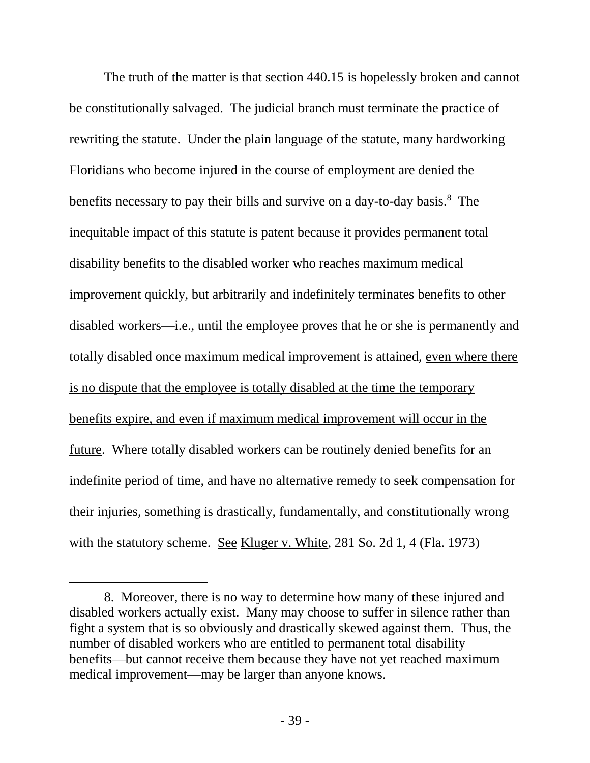The truth of the matter is that section 440.15 is hopelessly broken and cannot be constitutionally salvaged. The judicial branch must terminate the practice of rewriting the statute. Under the plain language of the statute, many hardworking Floridians who become injured in the course of employment are denied the benefits necessary to pay their bills and survive on a day-to-day basis.<sup>8</sup> The inequitable impact of this statute is patent because it provides permanent total disability benefits to the disabled worker who reaches maximum medical improvement quickly, but arbitrarily and indefinitely terminates benefits to other disabled workers—i.e., until the employee proves that he or she is permanently and totally disabled once maximum medical improvement is attained, even where there is no dispute that the employee is totally disabled at the time the temporary benefits expire, and even if maximum medical improvement will occur in the future. Where totally disabled workers can be routinely denied benefits for an indefinite period of time, and have no alternative remedy to seek compensation for their injuries, something is drastically, fundamentally, and constitutionally wrong with the statutory scheme. See Kluger v. White, 281 So. 2d 1, 4 (Fla. 1973)

l

<sup>8.</sup> Moreover, there is no way to determine how many of these injured and disabled workers actually exist. Many may choose to suffer in silence rather than fight a system that is so obviously and drastically skewed against them. Thus, the number of disabled workers who are entitled to permanent total disability benefits—but cannot receive them because they have not yet reached maximum medical improvement—may be larger than anyone knows.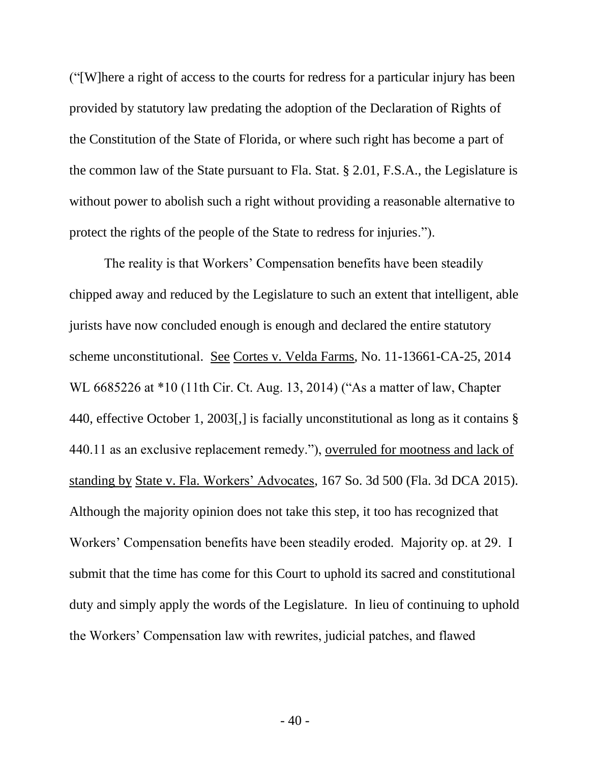("[W]here a right of access to the courts for redress for a particular injury has been provided by statutory law predating the adoption of the Declaration of Rights of the Constitution of the State of Florida, or where such right has become a part of the common law of the State pursuant to Fla. Stat. § 2.01, F.S.A., the Legislature is without power to abolish such a right without providing a reasonable alternative to protect the rights of the people of the State to redress for injuries.").

The reality is that Workers' Compensation benefits have been steadily chipped away and reduced by the Legislature to such an extent that intelligent, able jurists have now concluded enough is enough and declared the entire statutory scheme unconstitutional. See Cortes v. Velda Farms, No. 11-13661-CA-25, 2014 WL 6685226 at \*10 (11th Cir. Ct. Aug. 13, 2014) ("As a matter of law, Chapter 440, effective October 1, 2003[,] is facially unconstitutional as long as it contains § 440.11 as an exclusive replacement remedy."), overruled for mootness and lack of standing by State v. Fla. Workers' Advocates, 167 So. 3d 500 (Fla. 3d DCA 2015). Although the majority opinion does not take this step, it too has recognized that Workers' Compensation benefits have been steadily eroded. Majority op. at 29. I submit that the time has come for this Court to uphold its sacred and constitutional duty and simply apply the words of the Legislature. In lieu of continuing to uphold the Workers' Compensation law with rewrites, judicial patches, and flawed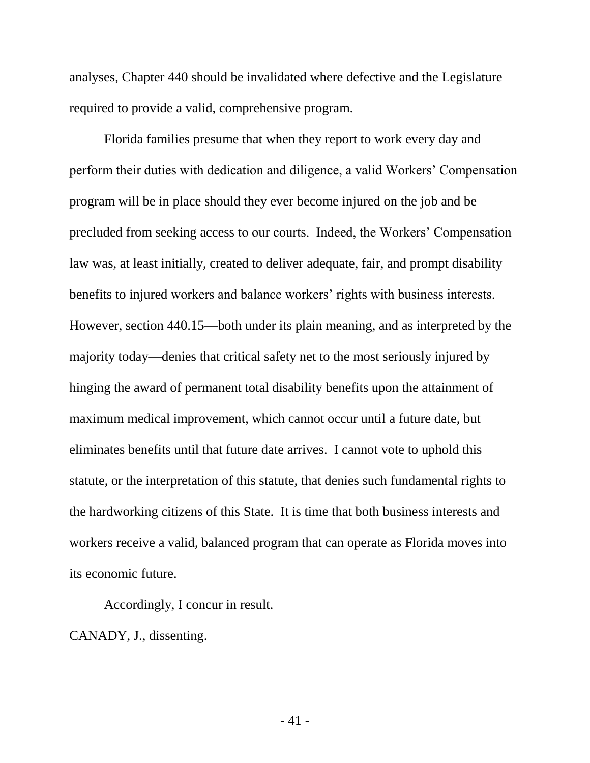analyses, Chapter 440 should be invalidated where defective and the Legislature required to provide a valid, comprehensive program.

Florida families presume that when they report to work every day and perform their duties with dedication and diligence, a valid Workers' Compensation program will be in place should they ever become injured on the job and be precluded from seeking access to our courts. Indeed, the Workers' Compensation law was, at least initially, created to deliver adequate, fair, and prompt disability benefits to injured workers and balance workers' rights with business interests. However, section 440.15—both under its plain meaning, and as interpreted by the majority today—denies that critical safety net to the most seriously injured by hinging the award of permanent total disability benefits upon the attainment of maximum medical improvement, which cannot occur until a future date, but eliminates benefits until that future date arrives. I cannot vote to uphold this statute, or the interpretation of this statute, that denies such fundamental rights to the hardworking citizens of this State. It is time that both business interests and workers receive a valid, balanced program that can operate as Florida moves into its economic future.

Accordingly, I concur in result.

CANADY, J., dissenting.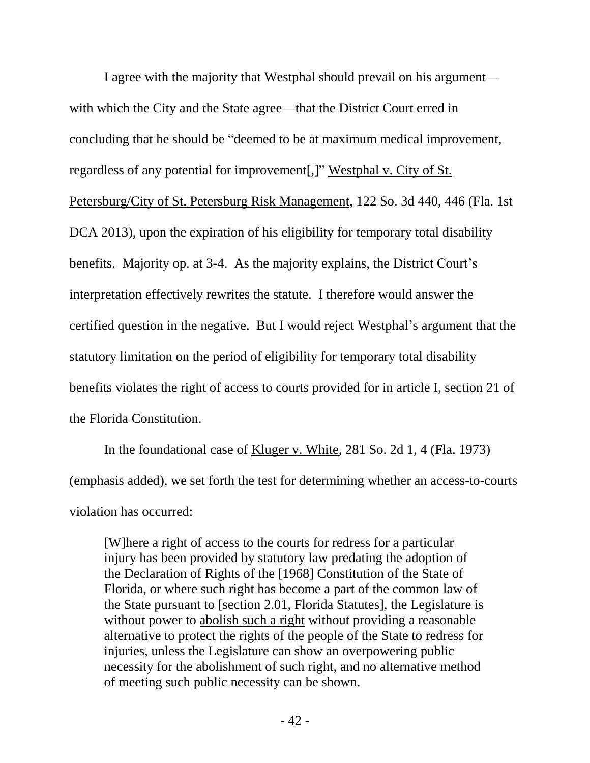I agree with the majority that Westphal should prevail on his argument with which the City and the State agree—that the District Court erred in concluding that he should be "deemed to be at maximum medical improvement, regardless of any potential for improvement[,]" Westphal v. City of St. Petersburg/City of St. Petersburg Risk Management, 122 So. 3d 440, 446 (Fla. 1st DCA 2013), upon the expiration of his eligibility for temporary total disability benefits. Majority op. at 3-4. As the majority explains, the District Court's interpretation effectively rewrites the statute. I therefore would answer the certified question in the negative. But I would reject Westphal's argument that the statutory limitation on the period of eligibility for temporary total disability benefits violates the right of access to courts provided for in article I, section 21 of the Florida Constitution.

In the foundational case of Kluger v. White, 281 So. 2d 1, 4 (Fla. 1973) (emphasis added), we set forth the test for determining whether an access-to-courts violation has occurred:

[W]here a right of access to the courts for redress for a particular injury has been provided by statutory law predating the adoption of the Declaration of Rights of the [1968] Constitution of the State of Florida, or where such right has become a part of the common law of the State pursuant to [section 2.01, Florida Statutes], the Legislature is without power to abolish such a right without providing a reasonable alternative to protect the rights of the people of the State to redress for injuries, unless the Legislature can show an overpowering public necessity for the abolishment of such right, and no alternative method of meeting such public necessity can be shown.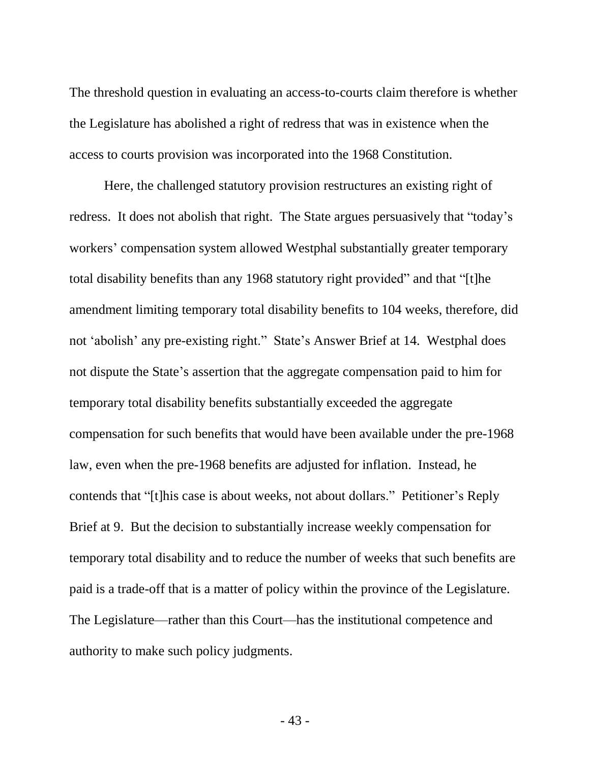The threshold question in evaluating an access-to-courts claim therefore is whether the Legislature has abolished a right of redress that was in existence when the access to courts provision was incorporated into the 1968 Constitution.

Here, the challenged statutory provision restructures an existing right of redress. It does not abolish that right. The State argues persuasively that "today's workers' compensation system allowed Westphal substantially greater temporary total disability benefits than any 1968 statutory right provided" and that "[t]he amendment limiting temporary total disability benefits to 104 weeks, therefore, did not 'abolish' any pre-existing right." State's Answer Brief at 14. Westphal does not dispute the State's assertion that the aggregate compensation paid to him for temporary total disability benefits substantially exceeded the aggregate compensation for such benefits that would have been available under the pre-1968 law, even when the pre-1968 benefits are adjusted for inflation. Instead, he contends that "[t]his case is about weeks, not about dollars." Petitioner's Reply Brief at 9. But the decision to substantially increase weekly compensation for temporary total disability and to reduce the number of weeks that such benefits are paid is a trade-off that is a matter of policy within the province of the Legislature. The Legislature—rather than this Court—has the institutional competence and authority to make such policy judgments.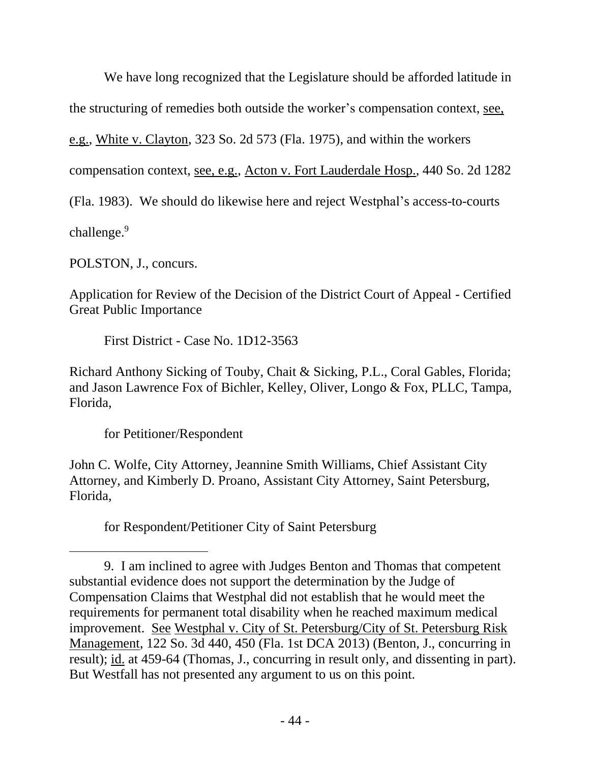We have long recognized that the Legislature should be afforded latitude in

the structuring of remedies both outside the worker's compensation context, see,

e.g., White v. Clayton, 323 So. 2d 573 (Fla. 1975), and within the workers

compensation context, see, e.g., Acton v. Fort Lauderdale Hosp., 440 So. 2d 1282

(Fla. 1983). We should do likewise here and reject Westphal's access-to-courts

challenge.<sup>9</sup>

l

POLSTON, J., concurs.

Application for Review of the Decision of the District Court of Appeal - Certified Great Public Importance

First District - Case No. 1D12-3563

Richard Anthony Sicking of Touby, Chait & Sicking, P.L., Coral Gables, Florida; and Jason Lawrence Fox of Bichler, Kelley, Oliver, Longo & Fox, PLLC, Tampa, Florida,

for Petitioner/Respondent

John C. Wolfe, City Attorney, Jeannine Smith Williams, Chief Assistant City Attorney, and Kimberly D. Proano, Assistant City Attorney, Saint Petersburg, Florida,

for Respondent/Petitioner City of Saint Petersburg

<sup>9.</sup> I am inclined to agree with Judges Benton and Thomas that competent substantial evidence does not support the determination by the Judge of Compensation Claims that Westphal did not establish that he would meet the requirements for permanent total disability when he reached maximum medical improvement. See Westphal v. City of St. Petersburg/City of St. Petersburg Risk Management, 122 So. 3d 440, 450 (Fla. 1st DCA 2013) (Benton, J., concurring in result); id. at 459-64 (Thomas, J., concurring in result only, and dissenting in part). But Westfall has not presented any argument to us on this point.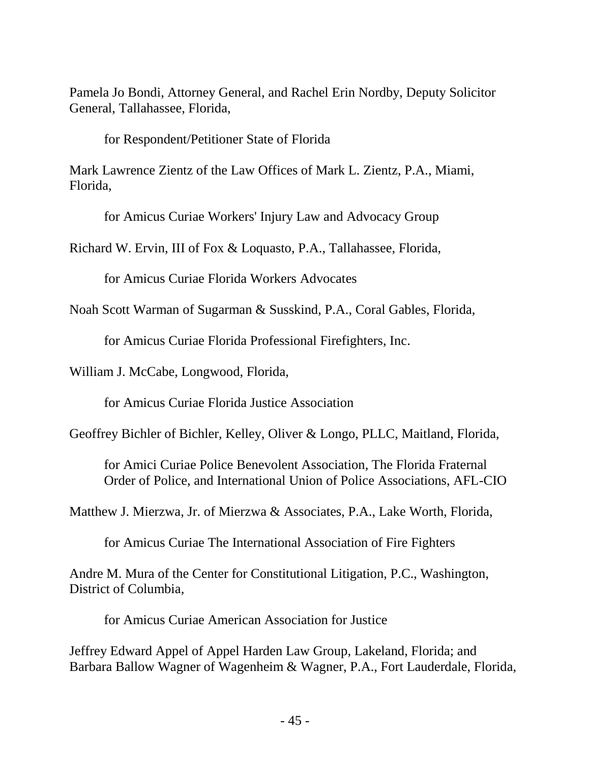Pamela Jo Bondi, Attorney General, and Rachel Erin Nordby, Deputy Solicitor General, Tallahassee, Florida,

for Respondent/Petitioner State of Florida

Mark Lawrence Zientz of the Law Offices of Mark L. Zientz, P.A., Miami, Florida,

for Amicus Curiae Workers' Injury Law and Advocacy Group

Richard W. Ervin, III of Fox & Loquasto, P.A., Tallahassee, Florida,

for Amicus Curiae Florida Workers Advocates

Noah Scott Warman of Sugarman & Susskind, P.A., Coral Gables, Florida,

for Amicus Curiae Florida Professional Firefighters, Inc.

William J. McCabe, Longwood, Florida,

for Amicus Curiae Florida Justice Association

Geoffrey Bichler of Bichler, Kelley, Oliver & Longo, PLLC, Maitland, Florida,

for Amici Curiae Police Benevolent Association, The Florida Fraternal Order of Police, and International Union of Police Associations, AFL-CIO

Matthew J. Mierzwa, Jr. of Mierzwa & Associates, P.A., Lake Worth, Florida,

for Amicus Curiae The International Association of Fire Fighters

Andre M. Mura of the Center for Constitutional Litigation, P.C., Washington, District of Columbia,

for Amicus Curiae American Association for Justice

Jeffrey Edward Appel of Appel Harden Law Group, Lakeland, Florida; and Barbara Ballow Wagner of Wagenheim & Wagner, P.A., Fort Lauderdale, Florida,